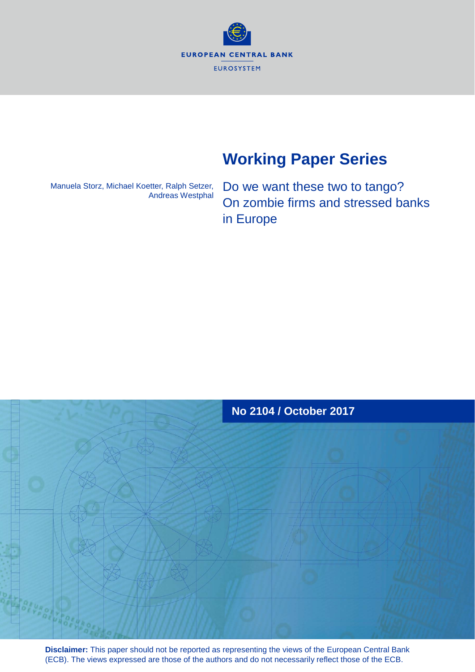**EUROPEAN CENTRAL BANK EUROSYSTEM** 

# **Working Paper Series**

Manuela Storz, Michael Koetter, Ralph Setzer, Andreas Westphal

Do we want these two to tango? On zombie firms and stressed banks in Europe



**Disclaimer:** This paper should not be reported as representing the views of the European Central Bank (ECB). The views expressed are those of the authors and do not necessarily reflect those of the ECB.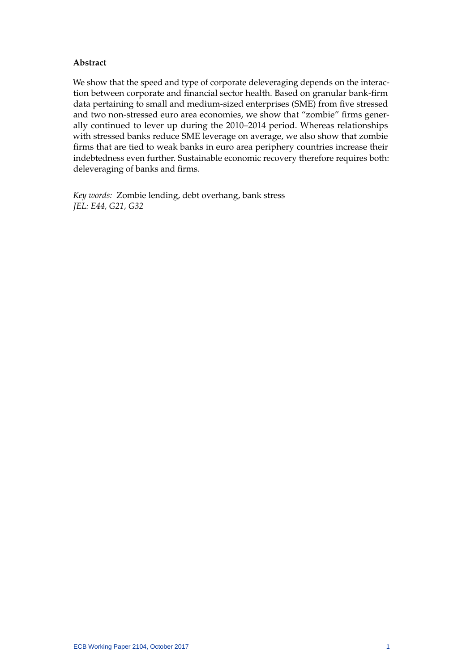# **Abstract**

We show that the speed and type of corporate deleveraging depends on the interaction between corporate and financial sector health. Based on granular bank-firm data pertaining to small and medium-sized enterprises (SME) from five stressed and two non-stressed euro area economies, we show that "zombie" firms generally continued to lever up during the 2010–2014 period. Whereas relationships with stressed banks reduce SME leverage on average, we also show that zombie firms that are tied to weak banks in euro area periphery countries increase their indebtedness even further. Sustainable economic recovery therefore requires both: deleveraging of banks and firms.

*Key words:* Zombie lending, debt overhang, bank stress *JEL: E44, G21, G32*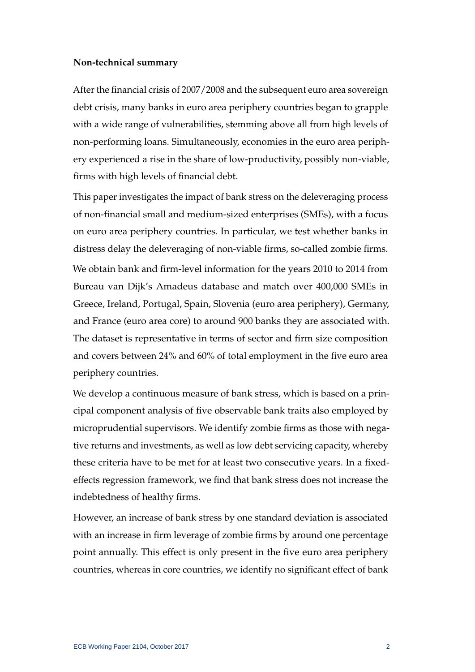# **Non-technical summary**

After the financial crisis of 2007/2008 and the subsequent euro area sovereign debt crisis, many banks in euro area periphery countries began to grapple with a wide range of vulnerabilities, stemming above all from high levels of non-performing loans. Simultaneously, economies in the euro area periphery experienced a rise in the share of low-productivity, possibly non-viable, firms with high levels of financial debt.

This paper investigates the impact of bank stress on the deleveraging process of non-financial small and medium-sized enterprises (SMEs), with a focus on euro area periphery countries. In particular, we test whether banks in distress delay the deleveraging of non-viable firms, so-called zombie firms. We obtain bank and firm-level information for the years 2010 to 2014 from Bureau van Dijk's Amadeus database and match over 400,000 SMEs in Greece, Ireland, Portugal, Spain, Slovenia (euro area periphery), Germany, and France (euro area core) to around 900 banks they are associated with. The dataset is representative in terms of sector and firm size composition and covers between 24% and 60% of total employment in the five euro area periphery countries.

We develop a continuous measure of bank stress, which is based on a principal component analysis of five observable bank traits also employed by microprudential supervisors. We identify zombie firms as those with negative returns and investments, as well as low debt servicing capacity, whereby these criteria have to be met for at least two consecutive years. In a fixedeffects regression framework, we find that bank stress does not increase the indebtedness of healthy firms.

However, an increase of bank stress by one standard deviation is associated with an increase in firm leverage of zombie firms by around one percentage point annually. This effect is only present in the five euro area periphery countries, whereas in core countries, we identify no significant effect of bank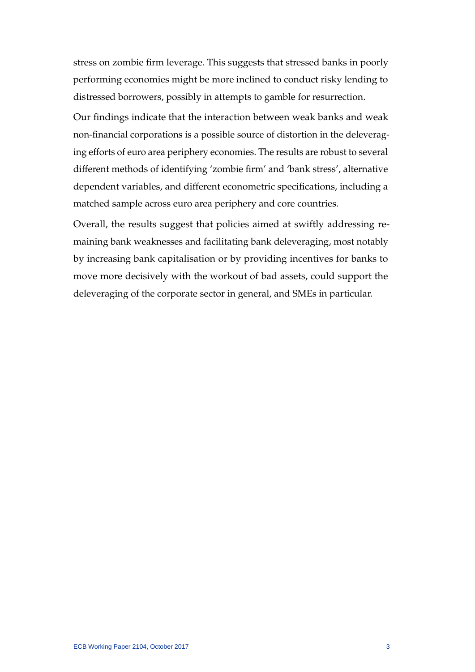stress on zombie firm leverage. This suggests that stressed banks in poorly performing economies might be more inclined to conduct risky lending to distressed borrowers, possibly in attempts to gamble for resurrection.

Our findings indicate that the interaction between weak banks and weak non-financial corporations is a possible source of distortion in the deleveraging efforts of euro area periphery economies. The results are robust to several different methods of identifying 'zombie firm' and 'bank stress', alternative dependent variables, and different econometric specifications, including a matched sample across euro area periphery and core countries.

Overall, the results suggest that policies aimed at swiftly addressing remaining bank weaknesses and facilitating bank deleveraging, most notably by increasing bank capitalisation or by providing incentives for banks to move more decisively with the workout of bad assets, could support the deleveraging of the corporate sector in general, and SMEs in particular.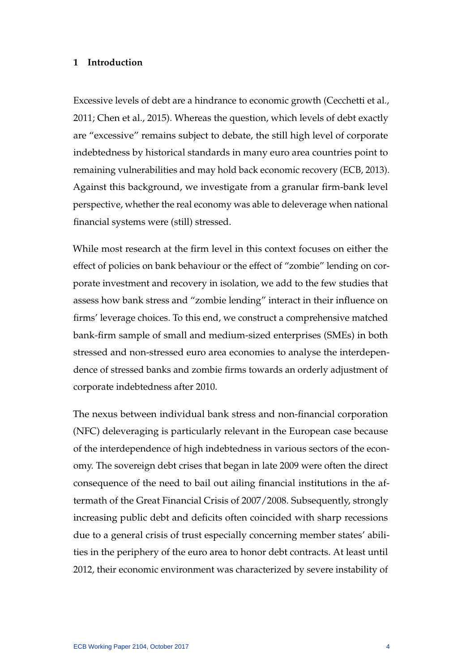# **1 Introduction**

Excessive levels of debt are a hindrance to economic growth [\(Cecchetti et al.,](#page-40-0) [2011;](#page-40-0) [Chen et al., 2015\)](#page-40-1). Whereas the question, which levels of debt exactly are "excessive" remains subject to debate, the still high level of corporate indebtedness by historical standards in many euro area countries point to remaining vulnerabilities and may hold back economic recovery [\(ECB, 2013\)](#page-41-0). Against this background, we investigate from a granular firm-bank level perspective, whether the real economy was able to deleverage when national financial systems were (still) stressed.

While most research at the firm level in this context focuses on either the effect of policies on bank behaviour or the effect of "zombie" lending on corporate investment and recovery in isolation, we add to the few studies that assess how bank stress and "zombie lending" interact in their influence on firms' leverage choices. To this end, we construct a comprehensive matched bank-firm sample of small and medium-sized enterprises (SMEs) in both stressed and non-stressed euro area economies to analyse the interdependence of stressed banks and zombie firms towards an orderly adjustment of corporate indebtedness after 2010.

The nexus between individual bank stress and non-financial corporation (NFC) deleveraging is particularly relevant in the European case because of the interdependence of high indebtedness in various sectors of the economy. The sovereign debt crises that began in late 2009 were often the direct consequence of the need to bail out ailing financial institutions in the aftermath of the Great Financial Crisis of 2007/2008. Subsequently, strongly increasing public debt and deficits often coincided with sharp recessions due to a general crisis of trust especially concerning member states' abilities in the periphery of the euro area to honor debt contracts. At least until 2012, their economic environment was characterized by severe instability of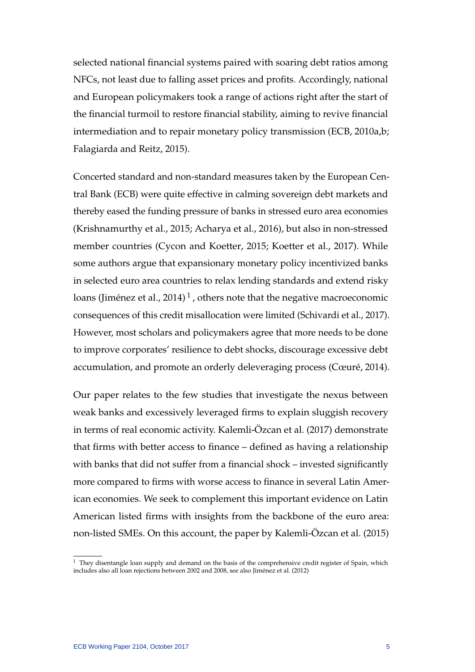selected national financial systems paired with soaring debt ratios among NFCs, not least due to falling asset prices and profits. Accordingly, national and European policymakers took a range of actions right after the start of the financial turmoil to restore financial stability, aiming to revive financial intermediation and to repair monetary policy transmission [\(ECB, 2010a](#page-41-1)[,b;](#page-41-2) [Falagiarda and Reitz, 2015\)](#page-41-3).

Concerted standard and non-standard measures taken by the European Central Bank (ECB) were quite effective in calming sovereign debt markets and thereby eased the funding pressure of banks in stressed euro area economies [\(Krishnamurthy et al., 2015;](#page-42-0) [Acharya et al., 2016\)](#page-40-2), but also in non-stressed member countries [\(Cycon and Koetter, 2015;](#page-40-3) [Koetter et al., 2017\)](#page-42-1). While some authors argue that expansionary monetary policy incentivized banks in selected euro area countries to relax lending standards and extend risky loans (Jiménez et al., 20[1](#page-5-0)4) $^1$  , others note that the negative macroeconomic consequences of this credit misallocation were limited [\(Schivardi et al., 2017\)](#page-42-3). However, most scholars and policymakers agree that more needs to be done to improve corporates' resilience to debt shocks, discourage excessive debt accumulation, and promote an orderly deleveraging process (Cœuré, 2014).

Our paper relates to the few studies that investigate the nexus between weak banks and excessively leveraged firms to explain sluggish recovery in terms of real economic activity. Kalemli-Özcan et al. [\(2017\)](#page-42-4) demonstrate that firms with better access to finance – defined as having a relationship with banks that did not suffer from a financial shock – invested significantly more compared to firms with worse access to finance in several Latin American economies. We seek to complement this important evidence on Latin American listed firms with insights from the backbone of the euro area: non-listed SMEs. On this account, the paper by Kalemli-Özcan et al. [\(2015\)](#page-42-5)

<span id="page-5-0"></span> $1$  They disentangle loan supply and demand on the basis of the comprehensive credit register of Spain, which includes also all loan rejections between 2002 and 2008, see also Jiménez et al. [\(2012\)](#page-41-4)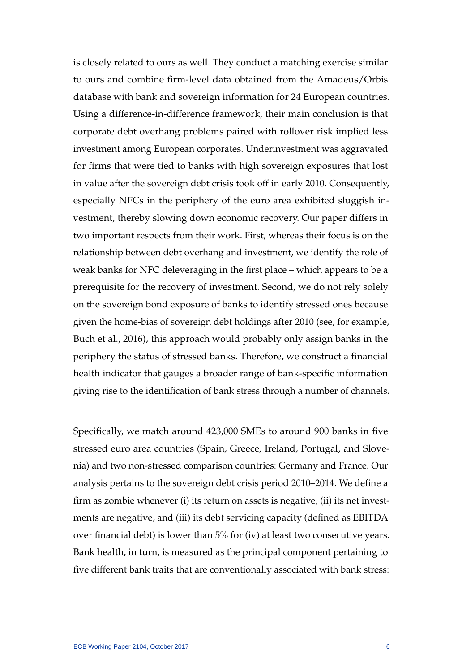is closely related to ours as well. They conduct a matching exercise similar to ours and combine firm-level data obtained from the Amadeus/Orbis database with bank and sovereign information for 24 European countries. Using a difference-in-difference framework, their main conclusion is that corporate debt overhang problems paired with rollover risk implied less investment among European corporates. Underinvestment was aggravated for firms that were tied to banks with high sovereign exposures that lost in value after the sovereign debt crisis took off in early 2010. Consequently, especially NFCs in the periphery of the euro area exhibited sluggish investment, thereby slowing down economic recovery. Our paper differs in two important respects from their work. First, whereas their focus is on the relationship between debt overhang and investment, we identify the role of weak banks for NFC deleveraging in the first place – which appears to be a prerequisite for the recovery of investment. Second, we do not rely solely on the sovereign bond exposure of banks to identify stressed ones because given the home-bias of sovereign debt holdings after 2010 (see, for example, [Buch et al., 2016\)](#page-40-5), this approach would probably only assign banks in the periphery the status of stressed banks. Therefore, we construct a financial health indicator that gauges a broader range of bank-specific information giving rise to the identification of bank stress through a number of channels.

Specifically, we match around 423,000 SMEs to around 900 banks in five stressed euro area countries (Spain, Greece, Ireland, Portugal, and Slovenia) and two non-stressed comparison countries: Germany and France. Our analysis pertains to the sovereign debt crisis period 2010–2014. We define a firm as zombie whenever (i) its return on assets is negative, (ii) its net investments are negative, and (iii) its debt servicing capacity (defined as EBITDA over financial debt) is lower than 5% for (iv) at least two consecutive years. Bank health, in turn, is measured as the principal component pertaining to five different bank traits that are conventionally associated with bank stress: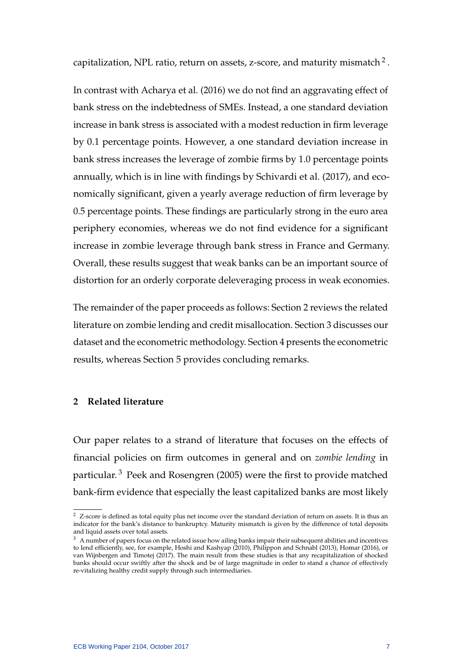capitalization, NPL ratio, return on assets, z-score, and maturity mismatch  $^2$  $^2$  .

In contrast with [Acharya et al.](#page-40-2) [\(2016\)](#page-40-2) we do not find an aggravating effect of bank stress on the indebtedness of SMEs. Instead, a one standard deviation increase in bank stress is associated with a modest reduction in firm leverage by 0.1 percentage points. However, a one standard deviation increase in bank stress increases the leverage of zombie firms by 1.0 percentage points annually, which is in line with findings by [Schivardi et al.](#page-42-3) [\(2017\)](#page-42-3), and economically significant, given a yearly average reduction of firm leverage by 0.5 percentage points. These findings are particularly strong in the euro area periphery economies, whereas we do not find evidence for a significant increase in zombie leverage through bank stress in France and Germany. Overall, these results suggest that weak banks can be an important source of distortion for an orderly corporate deleveraging process in weak economies.

The remainder of the paper proceeds as follows: Section 2 reviews the related literature on zombie lending and credit misallocation. Section 3 discusses our dataset and the econometric methodology. Section 4 presents the econometric results, whereas Section 5 provides concluding remarks.

# **2 Related literature**

Our paper relates to a strand of literature that focuses on the effects of financial policies on firm outcomes in general and on *zombie lending* in particular.<sup>[3](#page-7-1)</sup> [Peek and Rosengren](#page-42-6) [\(2005\)](#page-42-6) were the first to provide matched bank-firm evidence that especially the least capitalized banks are most likely

<span id="page-7-0"></span> $2\,$  Z-score is defined as total equity plus net income over the standard deviation of return on assets. It is thus an indicator for the bank's distance to bankruptcy. Maturity mismatch is given by the difference of total deposits and liquid assets over total assets.

<span id="page-7-1"></span> $^3\;$  A number of papers focus on the related issue how ailing banks impair their subsequent abilities and incentives to lend efficiently, see, for example, [Hoshi and Kashyap](#page-41-5) [\(2010\)](#page-41-5), [Philippon and Schnabl](#page-42-7) [\(2013\)](#page-42-7), [Homar](#page-41-6) [\(2016\)](#page-41-6), or [van Wijnbergen and Timotej](#page-42-8) [\(2017\)](#page-42-8). The main result from these studies is that any recapitalization of shocked banks should occur swiftly after the shock and be of large magnitude in order to stand a chance of effectively re-vitalizing healthy credit supply through such intermediaries.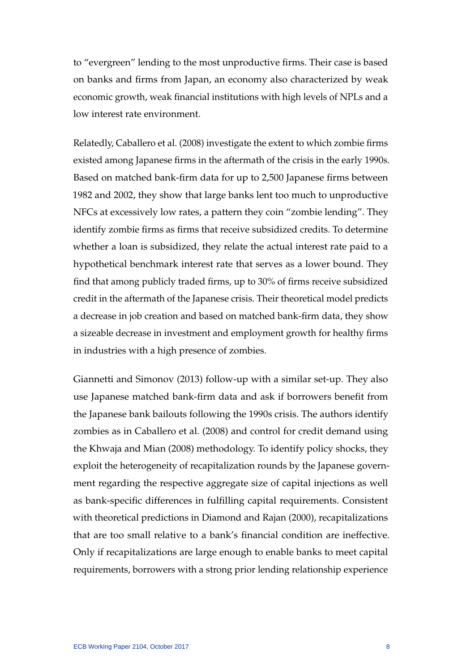to "evergreen" lending to the most unproductive firms. Their case is based on banks and firms from Japan, an economy also characterized by weak economic growth, weak financial institutions with high levels of NPLs and a low interest rate environment.

Relatedly, [Caballero et al.](#page-40-6) [\(2008\)](#page-40-6) investigate the extent to which zombie firms existed among Japanese firms in the aftermath of the crisis in the early 1990s. Based on matched bank-firm data for up to 2,500 Japanese firms between 1982 and 2002, they show that large banks lent too much to unproductive NFCs at excessively low rates, a pattern they coin "zombie lending". They identify zombie firms as firms that receive subsidized credits. To determine whether a loan is subsidized, they relate the actual interest rate paid to a hypothetical benchmark interest rate that serves as a lower bound. They find that among publicly traded firms, up to 30% of firms receive subsidized credit in the aftermath of the Japanese crisis. Their theoretical model predicts a decrease in job creation and based on matched bank-firm data, they show a sizeable decrease in investment and employment growth for healthy firms in industries with a high presence of zombies.

[Giannetti and Simonov](#page-41-7) [\(2013\)](#page-41-7) follow-up with a similar set-up. They also use Japanese matched bank-firm data and ask if borrowers benefit from the Japanese bank bailouts following the 1990s crisis. The authors identify zombies as in [Caballero et al.](#page-40-6) [\(2008\)](#page-40-6) and control for credit demand using the [Khwaja and Mian](#page-42-9) [\(2008\)](#page-42-9) methodology. To identify policy shocks, they exploit the heterogeneity of recapitalization rounds by the Japanese government regarding the respective aggregate size of capital injections as well as bank-specific differences in fulfilling capital requirements. Consistent with theoretical predictions in [Diamond and Rajan](#page-40-7) [\(2000\)](#page-40-7), recapitalizations that are too small relative to a bank's financial condition are ineffective. Only if recapitalizations are large enough to enable banks to meet capital requirements, borrowers with a strong prior lending relationship experience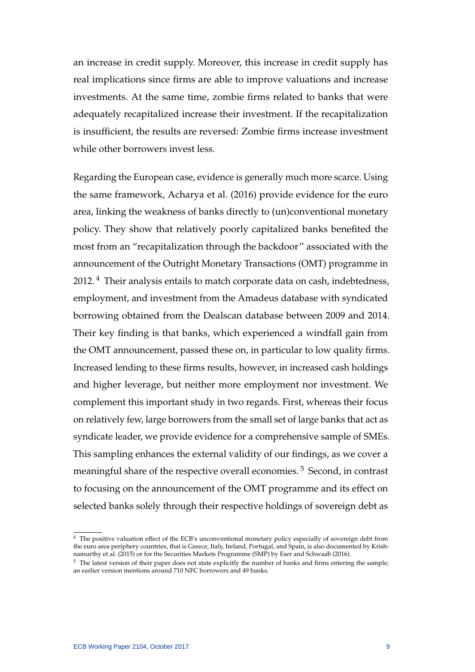an increase in credit supply. Moreover, this increase in credit supply has real implications since firms are able to improve valuations and increase investments. At the same time, zombie firms related to banks that were adequately recapitalized increase their investment. If the recapitalization is insufficient, the results are reversed: Zombie firms increase investment while other borrowers invest less.

Regarding the European case, evidence is generally much more scarce. Using the same framework, [Acharya et al.](#page-40-2) [\(2016\)](#page-40-2) provide evidence for the euro area, linking the weakness of banks directly to (un)conventional monetary policy. They show that relatively poorly capitalized banks benefited the most from an "recapitalization through the backdoor" associated with the announcement of the Outright Monetary Transactions (OMT) programme in 2012.<sup>[4](#page-9-0)</sup> Their analysis entails to match corporate data on cash, indebtedness, employment, and investment from the Amadeus database with syndicated borrowing obtained from the Dealscan database between 2009 and 2014. Their key finding is that banks, which experienced a windfall gain from the OMT announcement, passed these on, in particular to low quality firms. Increased lending to these firms results, however, in increased cash holdings and higher leverage, but neither more employment nor investment. We complement this important study in two regards. First, whereas their focus on relatively few, large borrowers from the small set of large banks that act as syndicate leader, we provide evidence for a comprehensive sample of SMEs. This sampling enhances the external validity of our findings, as we cover a meaningful share of the respective overall economies.<sup>[5](#page-9-1)</sup> Second, in contrast to focusing on the announcement of the OMT programme and its effect on selected banks solely through their respective holdings of sovereign debt as

<span id="page-9-0"></span><sup>&</sup>lt;sup>4</sup> The positive valuation effect of the ECB's unconventional monetary policy especially of sovereign debt from the euro area periphery countries, that is Greece, Italy, Ireland, Portugal, and Spain, is also documented by [Krish](#page-42-0)[namurthy et al.](#page-42-0) [\(2015\)](#page-42-0) or for the Securities Markets Programme (SMP) by [Eser and Schwaab](#page-41-8) [\(2016\)](#page-41-8).

<span id="page-9-1"></span><sup>&</sup>lt;sup>5</sup> The latest version of their paper does not state explicitly the number of banks and firms entering the sample; an earlier version mentions around 710 NFC borrowers and 49 banks.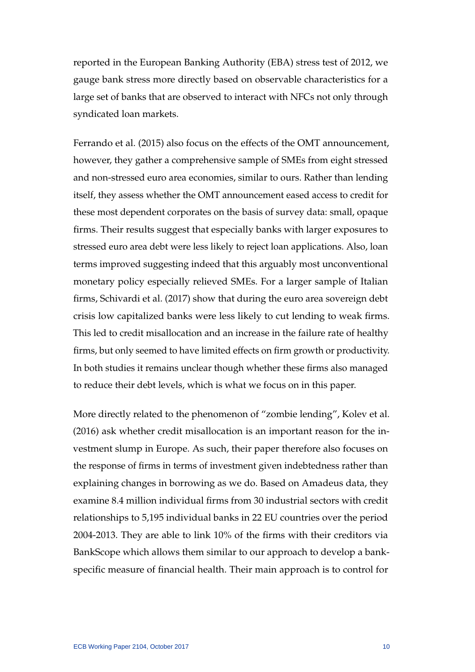reported in the European Banking Authority (EBA) stress test of 2012, we gauge bank stress more directly based on observable characteristics for a large set of banks that are observed to interact with NFCs not only through syndicated loan markets.

[Ferrando et al.](#page-41-9) [\(2015\)](#page-41-9) also focus on the effects of the OMT announcement, however, they gather a comprehensive sample of SMEs from eight stressed and non-stressed euro area economies, similar to ours. Rather than lending itself, they assess whether the OMT announcement eased access to credit for these most dependent corporates on the basis of survey data: small, opaque firms. Their results suggest that especially banks with larger exposures to stressed euro area debt were less likely to reject loan applications. Also, loan terms improved suggesting indeed that this arguably most unconventional monetary policy especially relieved SMEs. For a larger sample of Italian firms, [Schivardi et al.](#page-42-3) [\(2017\)](#page-42-3) show that during the euro area sovereign debt crisis low capitalized banks were less likely to cut lending to weak firms. This led to credit misallocation and an increase in the failure rate of healthy firms, but only seemed to have limited effects on firm growth or productivity. In both studies it remains unclear though whether these firms also managed to reduce their debt levels, which is what we focus on in this paper.

More directly related to the phenomenon of "zombie lending", [Kolev et al.](#page-42-10) [\(2016\)](#page-42-10) ask whether credit misallocation is an important reason for the investment slump in Europe. As such, their paper therefore also focuses on the response of firms in terms of investment given indebtedness rather than explaining changes in borrowing as we do. Based on Amadeus data, they examine 8.4 million individual firms from 30 industrial sectors with credit relationships to 5,195 individual banks in 22 EU countries over the period 2004-2013. They are able to link 10% of the firms with their creditors via BankScope which allows them similar to our approach to develop a bankspecific measure of financial health. Their main approach is to control for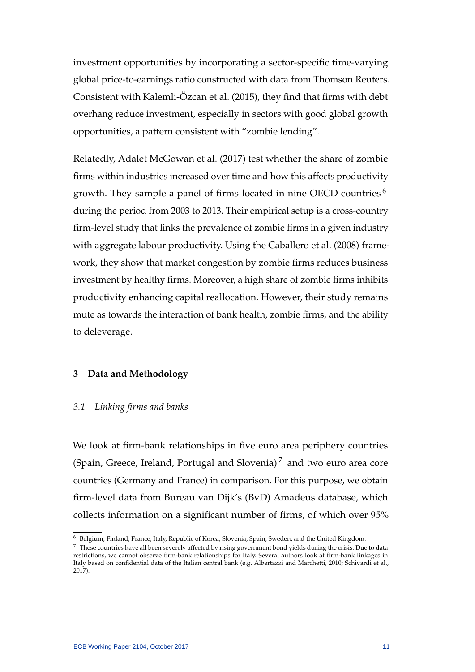investment opportunities by incorporating a sector-specific time-varying global price-to-earnings ratio constructed with data from Thomson Reuters. Consistent with Kalemli-Özcan et al. [\(2015\)](#page-42-5), they find that firms with debt overhang reduce investment, especially in sectors with good global growth opportunities, a pattern consistent with "zombie lending".

Relatedly, [Adalet McGowan et al.](#page-40-8) [\(2017\)](#page-40-8) test whether the share of zombie firms within industries increased over time and how this affects productivity growth. They sample a panel of firms located in nine OECD countries<sup>[6](#page-11-0)</sup> during the period from 2003 to 2013. Their empirical setup is a cross-country firm-level study that links the prevalence of zombie firms in a given industry with aggregate labour productivity. Using the [Caballero et al.](#page-40-6) [\(2008\)](#page-40-6) framework, they show that market congestion by zombie firms reduces business investment by healthy firms. Moreover, a high share of zombie firms inhibits productivity enhancing capital reallocation. However, their study remains mute as towards the interaction of bank health, zombie firms, and the ability to deleverage.

# **3 Data and Methodology**

# *3.1 Linking firms and banks*

We look at firm-bank relationships in five euro area periphery countries (Spain, Greece, Ireland, Portugal and Slovenia)<sup>[7](#page-11-1)</sup> and two euro area core countries (Germany and France) in comparison. For this purpose, we obtain firm-level data from Bureau van Dijk's (BvD) Amadeus database, which collects information on a significant number of firms, of which over 95%

<span id="page-11-0"></span><sup>6</sup> Belgium, Finland, France, Italy, Republic of Korea, Slovenia, Spain, Sweden, and the United Kingdom.

<span id="page-11-1"></span> $7$  These countries have all been severely affected by rising government bond yields during the crisis. Due to data restrictions, we cannot observe firm-bank relationships for Italy. Several authors look at firm-bank linkages in Italy based on confidential data of the Italian central bank (e.g. [Albertazzi and Marchetti, 2010;](#page-40-9) [Schivardi et al.,](#page-42-3) [2017\)](#page-42-3).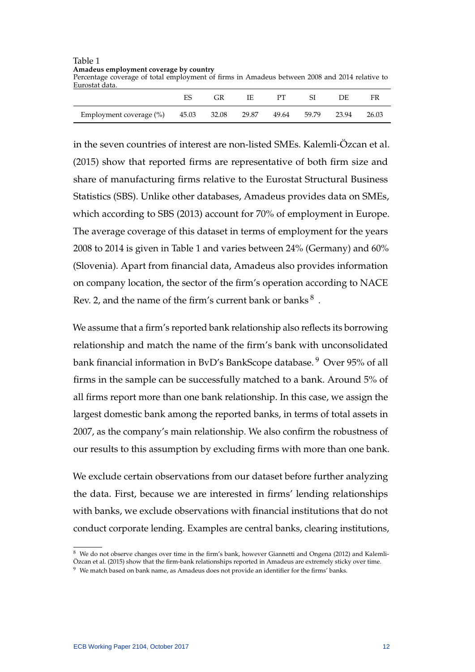| Table 1                                                                                       |
|-----------------------------------------------------------------------------------------------|
| Amadeus employment coverage by country                                                        |
| Percentage coverage of total employment of firms in Amadeus between 2008 and 2014 relative to |
| Eurostat data.                                                                                |
|                                                                                               |

|                                           |  |  |             | DЕ    | FR    |
|-------------------------------------------|--|--|-------------|-------|-------|
| Employment coverage (%) 45.03 32.08 29.87 |  |  | 49.64 59.79 | 23.94 | 26.03 |

in the seven countries of interest are non-listed SMEs. Kalemli-Özcan et al. [\(2015\)](#page-42-5) show that reported firms are representative of both firm size and share of manufacturing firms relative to the Eurostat Structural Business Statistics (SBS). Unlike other databases, Amadeus provides data on SMEs, which according to SBS (2013) account for 70% of employment in Europe. The average coverage of this dataset in terms of employment for the years 2008 to 2014 is given in Table 1 and varies between 24% (Germany) and 60% (Slovenia). Apart from financial data, Amadeus also provides information on company location, the sector of the firm's operation according to NACE Rev. 2, and the name of the firm's current bank or banks  $^8$  $^8$ .

We assume that a firm's reported bank relationship also reflects its borrowing relationship and match the name of the firm's bank with unconsolidated bank financial information in BvD's BankScope database.<sup>[9](#page-12-1)</sup> Over 95% of all firms in the sample can be successfully matched to a bank. Around 5% of all firms report more than one bank relationship. In this case, we assign the largest domestic bank among the reported banks, in terms of total assets in 2007, as the company's main relationship. We also confirm the robustness of our results to this assumption by excluding firms with more than one bank.

We exclude certain observations from our dataset before further analyzing the data. First, because we are interested in firms' lending relationships with banks, we exclude observations with financial institutions that do not conduct corporate lending. Examples are central banks, clearing institutions,

<span id="page-12-0"></span><sup>&</sup>lt;sup>8</sup> We do not observe changes over time in the firm's bank, however [Giannetti and Ongena](#page-41-10) [\(2012\)](#page-41-10) and [Kalemli-](#page-42-5)[Ozcan et al.](#page-42-5) [\(2015\)](#page-42-5) show that the firm-bank relationships reported in Amadeus are extremely sticky over time. ¨

<span id="page-12-1"></span><sup>&</sup>lt;sup>9</sup> We match based on bank name, as Amadeus does not provide an identifier for the firms' banks.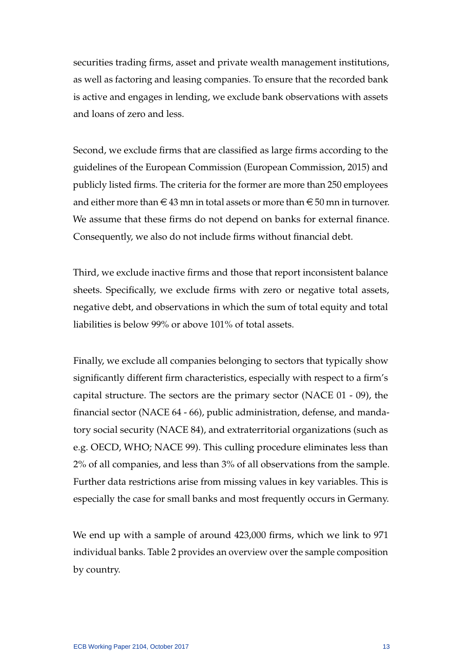securities trading firms, asset and private wealth management institutions, as well as factoring and leasing companies. To ensure that the recorded bank is active and engages in lending, we exclude bank observations with assets and loans of zero and less.

Second, we exclude firms that are classified as large firms according to the guidelines of the European Commission [\(European Commission, 2015\)](#page-41-11) and publicly listed firms. The criteria for the former are more than 250 employees and either more than  $\in$  43 mn in total assets or more than  $\in$  50 mn in turnover. We assume that these firms do not depend on banks for external finance. Consequently, we also do not include firms without financial debt.

Third, we exclude inactive firms and those that report inconsistent balance sheets. Specifically, we exclude firms with zero or negative total assets, negative debt, and observations in which the sum of total equity and total liabilities is below 99% or above 101% of total assets.

Finally, we exclude all companies belonging to sectors that typically show significantly different firm characteristics, especially with respect to a firm's capital structure. The sectors are the primary sector (NACE 01 - 09), the financial sector (NACE 64 - 66), public administration, defense, and mandatory social security (NACE 84), and extraterritorial organizations (such as e.g. OECD, WHO; NACE 99). This culling procedure eliminates less than 2% of all companies, and less than 3% of all observations from the sample. Further data restrictions arise from missing values in key variables. This is especially the case for small banks and most frequently occurs in Germany.

We end up with a sample of around 423,000 firms, which we link to 971 individual banks. Table 2 provides an overview over the sample composition by country.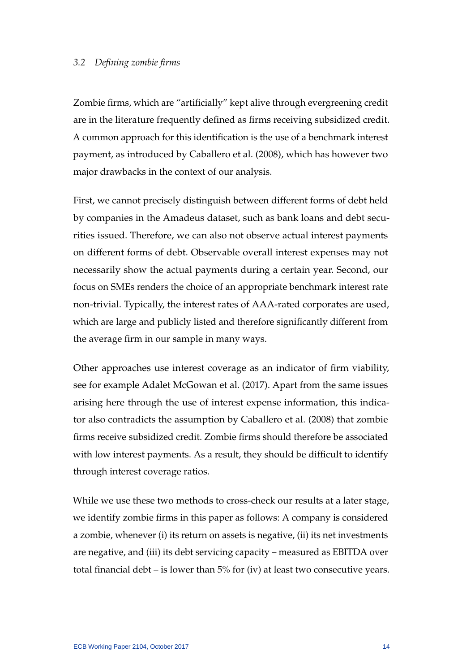# *3.2 Defining zombie firms*

Zombie firms, which are "artificially" kept alive through evergreening credit are in the literature frequently defined as firms receiving subsidized credit. A common approach for this identification is the use of a benchmark interest payment, as introduced by [Caballero et al.](#page-40-6) [\(2008\)](#page-40-6), which has however two major drawbacks in the context of our analysis.

First, we cannot precisely distinguish between different forms of debt held by companies in the Amadeus dataset, such as bank loans and debt securities issued. Therefore, we can also not observe actual interest payments on different forms of debt. Observable overall interest expenses may not necessarily show the actual payments during a certain year. Second, our focus on SMEs renders the choice of an appropriate benchmark interest rate non-trivial. Typically, the interest rates of AAA-rated corporates are used, which are large and publicly listed and therefore significantly different from the average firm in our sample in many ways.

Other approaches use interest coverage as an indicator of firm viability, see for example [Adalet McGowan et al.](#page-40-8) [\(2017\)](#page-40-8). Apart from the same issues arising here through the use of interest expense information, this indicator also contradicts the assumption by [Caballero et al.](#page-40-6) [\(2008\)](#page-40-6) that zombie firms receive subsidized credit. Zombie firms should therefore be associated with low interest payments. As a result, they should be difficult to identify through interest coverage ratios.

While we use these two methods to cross-check our results at a later stage, we identify zombie firms in this paper as follows: A company is considered a zombie, whenever (i) its return on assets is negative, (ii) its net investments are negative, and (iii) its debt servicing capacity – measured as EBITDA over total financial debt – is lower than 5% for (iv) at least two consecutive years.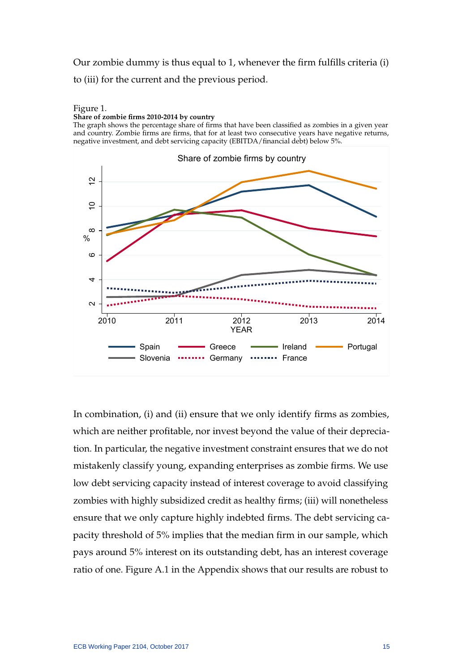Our zombie dummy is thus equal to 1, whenever the firm fulfills criteria (i) to (iii) for the current and the previous period.

#### Figure 1.

#### **Share of zombie firms 2010-2014 by country**

The graph shows the percentage share of firms that have been classified as zombies in a given year and country. Zombie firms are firms, that for at least two consecutive years have negative returns, negative investment, and debt servicing capacity (EBITDA/financial debt) below 5%.



In combination, (i) and (ii) ensure that we only identify firms as zombies, which are neither profitable, nor invest beyond the value of their depreciation. In particular, the negative investment constraint ensures that we do not mistakenly classify young, expanding enterprises as zombie firms. We use low debt servicing capacity instead of interest coverage to avoid classifying zombies with highly subsidized credit as healthy firms; (iii) will nonetheless ensure that we only capture highly indebted firms. The debt servicing capacity threshold of 5% implies that the median firm in our sample, which pays around 5% interest on its outstanding debt, has an interest coverage ratio of one. Figure A.1 in the Appendix shows that our results are robust to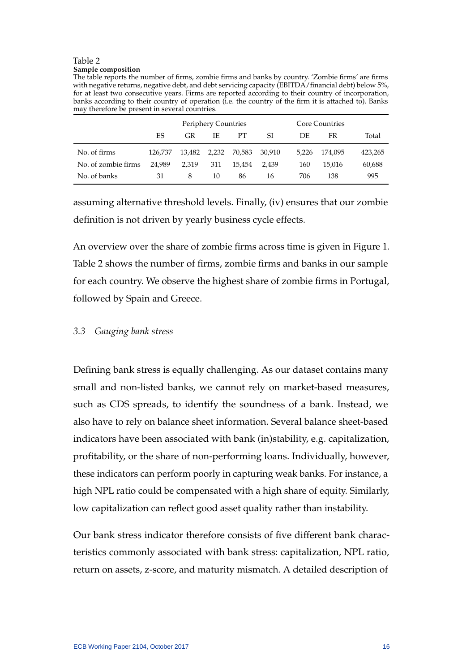#### Table 2 **Sample composition**

The table reports the number of firms, zombie firms and banks by country. 'Zombie firms' are firms with negative returns, negative debt, and debt servicing capacity (EBITDA/financial debt) below 5%, for at least two consecutive years. Firms are reported according to their country of incorporation, banks according to their country of operation (i.e. the country of the firm it is attached to). Banks may therefore be present in several countries.

|                     |         |                                  | Periphery Countries |        |        |       | Core Countries |         |
|---------------------|---------|----------------------------------|---------------------|--------|--------|-------|----------------|---------|
|                     | ES      | IE<br>GR<br>PT<br>FR<br>SI<br>DE |                     |        | Total  |       |                |         |
| No. of firms        | 126.737 | 13,482                           | 2,232               | 70.583 | 30.910 | 5.226 | 174.095        | 423,265 |
| No. of zombie firms | 24.989  | 2.319                            | 311                 | 15.454 | 2.439  | 160   | 15.016         | 60,688  |
| No. of banks        | 31      | 8                                | 10                  | 86     | 16     | 706   | 138            | 995     |

assuming alternative threshold levels. Finally, (iv) ensures that our zombie definition is not driven by yearly business cycle effects.

An overview over the share of zombie firms across time is given in Figure 1. Table 2 shows the number of firms, zombie firms and banks in our sample for each country. We observe the highest share of zombie firms in Portugal, followed by Spain and Greece.

# *3.3 Gauging bank stress*

Defining bank stress is equally challenging. As our dataset contains many small and non-listed banks, we cannot rely on market-based measures, such as CDS spreads, to identify the soundness of a bank. Instead, we also have to rely on balance sheet information. Several balance sheet-based indicators have been associated with bank (in)stability, e.g. capitalization, profitability, or the share of non-performing loans. Individually, however, these indicators can perform poorly in capturing weak banks. For instance, a high NPL ratio could be compensated with a high share of equity. Similarly, low capitalization can reflect good asset quality rather than instability.

Our bank stress indicator therefore consists of five different bank characteristics commonly associated with bank stress: capitalization, NPL ratio, return on assets, z-score, and maturity mismatch. A detailed description of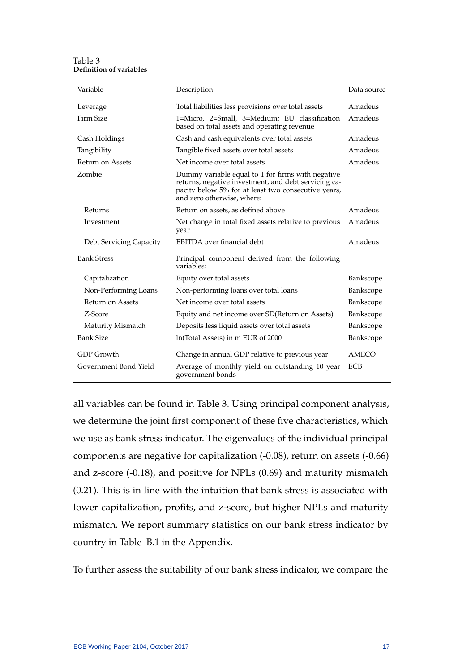Table 3 **Definition of variables**

| Variable                | Description                                                                                                                                                                                    | Data source  |
|-------------------------|------------------------------------------------------------------------------------------------------------------------------------------------------------------------------------------------|--------------|
| Leverage                | Total liabilities less provisions over total assets                                                                                                                                            | Amadeus      |
| Firm Size               | 1=Micro, 2=Small, 3=Medium; EU classification<br>based on total assets and operating revenue                                                                                                   | Amadeus      |
| Cash Holdings           | Cash and cash equivalents over total assets                                                                                                                                                    | Amadeus      |
| Tangibility             | Tangible fixed assets over total assets                                                                                                                                                        | Amadeus      |
| Return on Assets        | Net income over total assets                                                                                                                                                                   | Amadeus      |
| Zombie                  | Dummy variable equal to 1 for firms with negative<br>returns, negative investment, and debt servicing ca-<br>pacity below 5% for at least two consecutive years,<br>and zero otherwise, where: |              |
| Returns                 | Return on assets, as defined above                                                                                                                                                             | Amadeus      |
| Investment              | Net change in total fixed assets relative to previous<br>year                                                                                                                                  | Amadeus      |
| Debt Servicing Capacity | EBITDA over financial debt                                                                                                                                                                     | Amadeus      |
| <b>Bank Stress</b>      | Principal component derived from the following<br>variables:                                                                                                                                   |              |
| Capitalization          | Equity over total assets                                                                                                                                                                       | Bankscope    |
| Non-Performing Loans    | Non-performing loans over total loans                                                                                                                                                          | Bankscope    |
| Return on Assets        | Net income over total assets                                                                                                                                                                   | Bankscope    |
| Z-Score                 | Equity and net income over SD(Return on Assets)                                                                                                                                                | Bankscope    |
| Maturity Mismatch       | Deposits less liquid assets over total assets                                                                                                                                                  | Bankscope    |
| <b>Bank Size</b>        | ln(Total Assets) in m EUR of 2000                                                                                                                                                              | Bankscope    |
| <b>GDP</b> Growth       | Change in annual GDP relative to previous year                                                                                                                                                 | <b>AMECO</b> |
| Government Bond Yield   | Average of monthly yield on outstanding 10 year<br>government bonds                                                                                                                            | <b>ECB</b>   |

all variables can be found in Table 3. Using principal component analysis, we determine the joint first component of these five characteristics, which we use as bank stress indicator. The eigenvalues of the individual principal components are negative for capitalization (-0.08), return on assets (-0.66) and z-score (-0.18), and positive for NPLs (0.69) and maturity mismatch (0.21). This is in line with the intuition that bank stress is associated with lower capitalization, profits, and z-score, but higher NPLs and maturity mismatch. We report summary statistics on our bank stress indicator by country in Table B.1 in the Appendix.

To further assess the suitability of our bank stress indicator, we compare the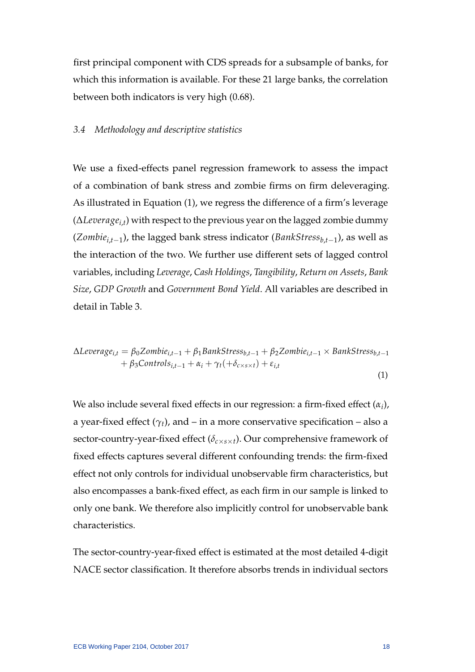first principal component with CDS spreads for a subsample of banks, for which this information is available. For these 21 large banks, the correlation between both indicators is very high (0.68).

# *3.4 Methodology and descriptive statistics*

We use a fixed-effects panel regression framework to assess the impact of a combination of bank stress and zombie firms on firm deleveraging. As illustrated in Equation (1), we regress the difference of a firm's leverage (∆*Leveragei*,*<sup>t</sup>* ) with respect to the previous year on the lagged zombie dummy (*Zombiei*,*t*−<sup>1</sup> ), the lagged bank stress indicator (*BankStressb*,*t*−<sup>1</sup> ), as well as the interaction of the two. We further use different sets of lagged control variables, including *Leverage*, *Cash Holdings*, *Tangibility*, *Return on Assets*, *Bank Size*, *GDP Growth* and *Government Bond Yield*. All variables are described in detail in Table 3.

$$
\Delta Leverage_{i,t} = \beta_0 Zombie_{i,t-1} + \beta_1 BankStress_{b,t-1} + \beta_2 Zombie_{i,t-1} \times BankStress_{b,t-1} + \beta_3 Controls_{i,t-1} + \alpha_i + \gamma_t (+\delta_{c \times s \times t}) + \varepsilon_{i,t}
$$
\n(1)

We also include several fixed effects in our regression: a firm-fixed effect (*α<sup>i</sup>* ), a year-fixed effect  $(\gamma_t)$ , and – in a more conservative specification – also a sector-country-year-fixed effect (*δc*×*s*×*t*). Our comprehensive framework of fixed effects captures several different confounding trends: the firm-fixed effect not only controls for individual unobservable firm characteristics, but also encompasses a bank-fixed effect, as each firm in our sample is linked to only one bank. We therefore also implicitly control for unobservable bank characteristics.

The sector-country-year-fixed effect is estimated at the most detailed 4-digit NACE sector classification. It therefore absorbs trends in individual sectors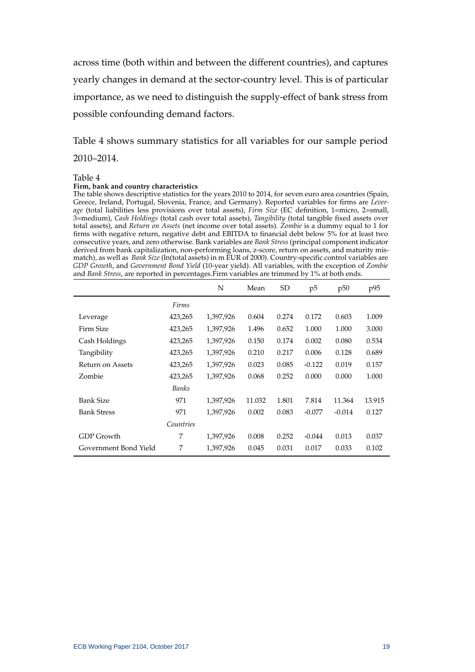across time (both within and between the different countries), and captures yearly changes in demand at the sector-country level. This is of particular importance, as we need to distinguish the supply-effect of bank stress from possible confounding demand factors.

Table 4 shows summary statistics for all variables for our sample period 2010–2014.

#### Table 4

#### **Firm, bank and country characteristics**

The table shows descriptive statistics for the years 2010 to 2014, for seven euro area countries (Spain, Greece, Ireland, Portugal, Slovenia, France, and Germany). Reported variables for firms are *Leverage* (total liabilities less provisions over total assets), *Firm Size* (EC definition, 1=micro, 2=small, 3=medium), *Cash Holdings* (total cash over total assets), *Tangibility* (total tangible fixed assets over total assets), and *Return on Assets* (net income over total assets). *Zombie* is a dummy equal to 1 for firms with negative return, negative debt and EBITDA to financial debt below 5% for at least two consecutive years, and zero otherwise. Bank variables are *Bank Stress* (principal component indicator derived from bank capitalization, non-performing loans, z-score, return on assets, and maturity mismatch), as well as *Bank Size* (ln(total assets) in m EUR of 2000). Country-specific control variables are *GDP Growth*, and *Government Bond Yield* (10-year yield). All variables, with the exception of *Zombie* and *Bank Stress*, are reported in percentages.Firm variables are trimmed by 1% at both ends.

|                       |           | N         | Mean   | SD    | p5       | p <sub>50</sub> | p95    |
|-----------------------|-----------|-----------|--------|-------|----------|-----------------|--------|
|                       | Firms     |           |        |       |          |                 |        |
| Leverage              | 423,265   | 1,397,926 | 0.604  | 0.274 | 0.172    | 0.603           | 1.009  |
| Firm Size             | 423,265   | 1,397,926 | 1.496  | 0.652 | 1.000    | 1.000           | 3.000  |
| Cash Holdings         | 423,265   | 1,397,926 | 0.150  | 0.174 | 0.002    | 0.080           | 0.534  |
| Tangibility           | 423,265   | 1,397,926 | 0.210  | 0.217 | 0.006    | 0.128           | 0.689  |
| Return on Assets      | 423,265   | 1,397,926 | 0.023  | 0.085 | $-0.122$ | 0.019           | 0.157  |
| Zombie                | 423,265   | 1,397,926 | 0.068  | 0.252 | 0.000    | 0.000           | 1.000  |
|                       | Banks     |           |        |       |          |                 |        |
| <b>Bank Size</b>      | 971       | 1,397,926 | 11.032 | 1.801 | 7.814    | 11.364          | 13.915 |
| <b>Bank Stress</b>    | 971       | 1,397,926 | 0.002  | 0.083 | $-0.077$ | $-0.014$        | 0.127  |
|                       | Countries |           |        |       |          |                 |        |
| GDP Growth            | 7         | 1,397,926 | 0.008  | 0.252 | $-0.044$ | 0.013           | 0.037  |
| Government Bond Yield | 7         | 1,397,926 | 0.045  | 0.031 | 0.017    | 0.033           | 0.102  |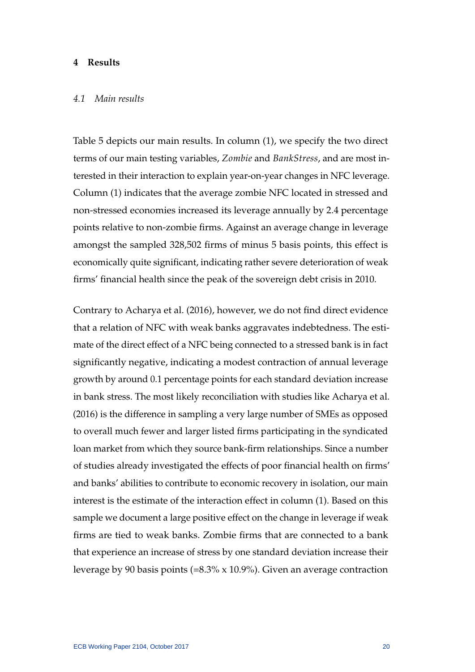# **4 Results**

### *4.1 Main results*

Table 5 depicts our main results. In column (1), we specify the two direct terms of our main testing variables, *Zombie* and *BankStress*, and are most interested in their interaction to explain year-on-year changes in NFC leverage. Column (1) indicates that the average zombie NFC located in stressed and non-stressed economies increased its leverage annually by 2.4 percentage points relative to non-zombie firms. Against an average change in leverage amongst the sampled 328,502 firms of minus 5 basis points, this effect is economically quite significant, indicating rather severe deterioration of weak firms' financial health since the peak of the sovereign debt crisis in 2010.

Contrary to [Acharya et al.](#page-40-2) [\(2016\)](#page-40-2), however, we do not find direct evidence that a relation of NFC with weak banks aggravates indebtedness. The estimate of the direct effect of a NFC being connected to a stressed bank is in fact significantly negative, indicating a modest contraction of annual leverage growth by around 0.1 percentage points for each standard deviation increase in bank stress. The most likely reconciliation with studies like [Acharya et al.](#page-40-2) [\(2016\)](#page-40-2) is the difference in sampling a very large number of SMEs as opposed to overall much fewer and larger listed firms participating in the syndicated loan market from which they source bank-firm relationships. Since a number of studies already investigated the effects of poor financial health on firms' and banks' abilities to contribute to economic recovery in isolation, our main interest is the estimate of the interaction effect in column (1). Based on this sample we document a large positive effect on the change in leverage if weak firms are tied to weak banks. Zombie firms that are connected to a bank that experience an increase of stress by one standard deviation increase their leverage by 90 basis points (=8.3% x 10.9%). Given an average contraction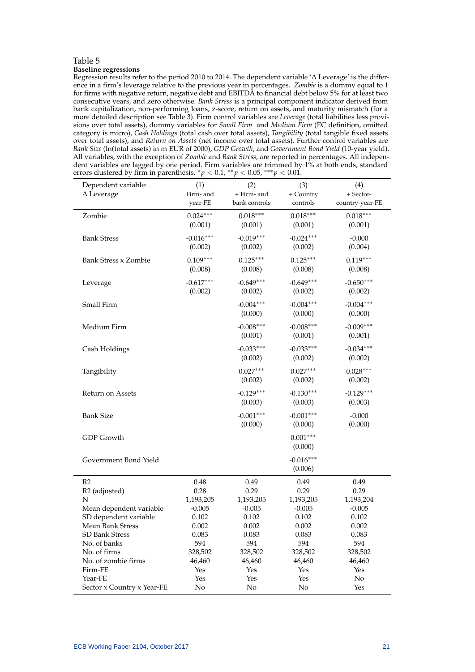#### Table 5 **Baseline regressions**

Regression results refer to the period 2010 to 2014. The dependent variable '∆ Leverage' is the difference in a firm's leverage relative to the previous year in percentages. *Zombie* is a dummy equal to 1 for firms with negative return, negative debt and EBITDA to financial debt below 5% for at least two consecutive years, and zero otherwise. *Bank Stress* is a principal component indicator derived from bank capitalization, non-performing loans, z-score, return on assets, and maturity mismatch (for a more detailed description see Table 3). Firm control variables are *Leverage* (total liabilities less provisions over total assets), dummy variables for *Small Firm* and *Medium Firm* (EC definition, omitted category is micro), *Cash Holdings* (total cash over total assets), *Tangibility* (total tangible fixed assets over total assets), and *Return on Assets* (net income over total assets). Further control variables are *Bank Size* (ln(total assets) in m EUR of 2000), *GDP Growth*, and *Government Bond Yield* (10-year yield). All variables, with the exception of *Zombie* and *Bank Stress*, are reported in percentages. All independent variables are lagged by one period. Firm variables are trimmed by 1% at both ends, standard errors clustered by firm in parenthesis.  $p < 0.1$ ,  $\sqrt[*]{p} < 0.05$ ,  $\sqrt[**]{p} < 0.01$ .

| Dependent variable:<br>$\Delta$ Leverage         | (1)<br>Firm-and        | (2)<br>+ Firm- and     | (3)<br>+ Country       | (4)<br>+ Sector-       |
|--------------------------------------------------|------------------------|------------------------|------------------------|------------------------|
|                                                  | year-FE                | bank controls          | controls               | country-year-FE        |
| Zombie                                           | $0.024***$<br>(0.001)  | $0.018***$<br>(0.001)  | $0.018***$<br>(0.001)  | $0.018***$<br>(0.001)  |
| <b>Bank Stress</b>                               | $-0.016***$<br>(0.002) | $-0.019***$<br>(0.002) | $-0.024***$<br>(0.002) | $-0.000$<br>(0.004)    |
| <b>Bank Stress x Zombie</b>                      | $0.109***$<br>(0.008)  | $0.125***$<br>(0.008)  | $0.125***$<br>(0.008)  | $0.119***$<br>(0.008)  |
| Leverage                                         | $-0.617***$<br>(0.002) | $-0.649***$<br>(0.002) | $-0.649***$<br>(0.002) | $-0.650***$<br>(0.002) |
| Small Firm                                       |                        | $-0.004***$<br>(0.000) | $-0.004***$<br>(0.000) | $-0.004***$<br>(0.000) |
| Medium Firm                                      |                        | $-0.008***$<br>(0.001) | $-0.008***$<br>(0.001) | $-0.009***$<br>(0.001) |
| Cash Holdings                                    |                        | $-0.033***$<br>(0.002) | $-0.033***$<br>(0.002) | $-0.034***$<br>(0.002) |
| Tangibility                                      |                        | $0.027***$<br>(0.002)  | $0.027***$<br>(0.002)  | $0.028***$<br>(0.002)  |
| Return on Assets                                 |                        | $-0.129***$<br>(0.003) | $-0.130***$<br>(0.003) | $-0.129***$<br>(0.003) |
| <b>Bank Size</b>                                 |                        | $-0.001***$<br>(0.000) | $-0.001***$<br>(0.000) | $-0.000$<br>(0.000)    |
| <b>GDP</b> Growth                                |                        |                        | $0.001***$<br>(0.000)  |                        |
| Government Bond Yield                            |                        |                        | $-0.016***$<br>(0.006) |                        |
| R <sub>2</sub>                                   | 0.48                   | 0.49                   | 0.49                   | 0.49                   |
| R <sub>2</sub> (adjusted)                        | 0.28                   | 0.29                   | 0.29                   | 0.29                   |
| N                                                | 1,193,205              | 1,193,205              | 1,193,205              | 1,193,204              |
| Mean dependent variable                          | $-0.005$               | $-0.005$               | $-0.005$               | $-0.005$               |
| SD dependent variable<br><b>Mean Bank Stress</b> | 0.102<br>0.002         | 0.102<br>0.002         | 0.102<br>0.002         | 0.102<br>0.002         |
| <b>SD Bank Stress</b>                            | 0.083                  | 0.083                  | 0.083                  | 0.083                  |
| No. of banks                                     | 594                    | 594                    | 594                    | 594                    |
| No. of firms                                     | 328,502                | 328,502                | 328,502                | 328,502                |
| No. of zombie firms                              | 46,460                 | 46,460                 | 46,460                 | 46,460                 |
| Firm-FE                                          | Yes                    | Yes                    | Yes                    | Yes                    |
| Year-FE                                          | Yes                    | Yes                    | Yes                    | No                     |
| Sector x Country x Year-FE                       | No                     | No                     | No                     | Yes                    |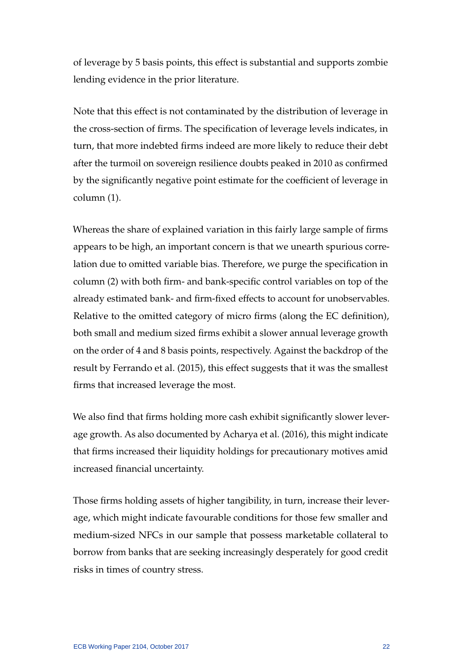of leverage by 5 basis points, this effect is substantial and supports zombie lending evidence in the prior literature.

Note that this effect is not contaminated by the distribution of leverage in the cross-section of firms. The specification of leverage levels indicates, in turn, that more indebted firms indeed are more likely to reduce their debt after the turmoil on sovereign resilience doubts peaked in 2010 as confirmed by the significantly negative point estimate for the coefficient of leverage in column (1).

Whereas the share of explained variation in this fairly large sample of firms appears to be high, an important concern is that we unearth spurious correlation due to omitted variable bias. Therefore, we purge the specification in column (2) with both firm- and bank-specific control variables on top of the already estimated bank- and firm-fixed effects to account for unobservables. Relative to the omitted category of micro firms (along the EC definition), both small and medium sized firms exhibit a slower annual leverage growth on the order of 4 and 8 basis points, respectively. Against the backdrop of the result by [Ferrando et al.](#page-41-9) [\(2015\)](#page-41-9), this effect suggests that it was the smallest firms that increased leverage the most.

We also find that firms holding more cash exhibit significantly slower leverage growth. As also documented by [Acharya et al.](#page-40-2) [\(2016\)](#page-40-2), this might indicate that firms increased their liquidity holdings for precautionary motives amid increased financial uncertainty.

Those firms holding assets of higher tangibility, in turn, increase their leverage, which might indicate favourable conditions for those few smaller and medium-sized NFCs in our sample that possess marketable collateral to borrow from banks that are seeking increasingly desperately for good credit risks in times of country stress.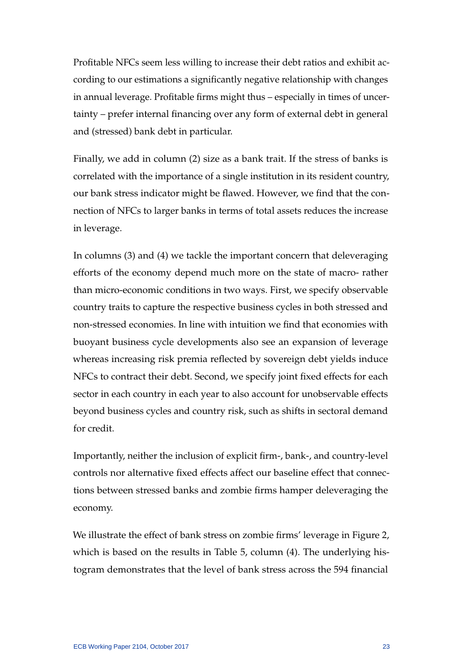Profitable NFCs seem less willing to increase their debt ratios and exhibit according to our estimations a significantly negative relationship with changes in annual leverage. Profitable firms might thus – especially in times of uncertainty – prefer internal financing over any form of external debt in general and (stressed) bank debt in particular.

Finally, we add in column (2) size as a bank trait. If the stress of banks is correlated with the importance of a single institution in its resident country, our bank stress indicator might be flawed. However, we find that the connection of NFCs to larger banks in terms of total assets reduces the increase in leverage.

In columns (3) and (4) we tackle the important concern that deleveraging efforts of the economy depend much more on the state of macro- rather than micro-economic conditions in two ways. First, we specify observable country traits to capture the respective business cycles in both stressed and non-stressed economies. In line with intuition we find that economies with buoyant business cycle developments also see an expansion of leverage whereas increasing risk premia reflected by sovereign debt yields induce NFCs to contract their debt. Second, we specify joint fixed effects for each sector in each country in each year to also account for unobservable effects beyond business cycles and country risk, such as shifts in sectoral demand for credit.

Importantly, neither the inclusion of explicit firm-, bank-, and country-level controls nor alternative fixed effects affect our baseline effect that connections between stressed banks and zombie firms hamper deleveraging the economy.

We illustrate the effect of bank stress on zombie firms' leverage in Figure 2, which is based on the results in Table 5, column (4). The underlying histogram demonstrates that the level of bank stress across the 594 financial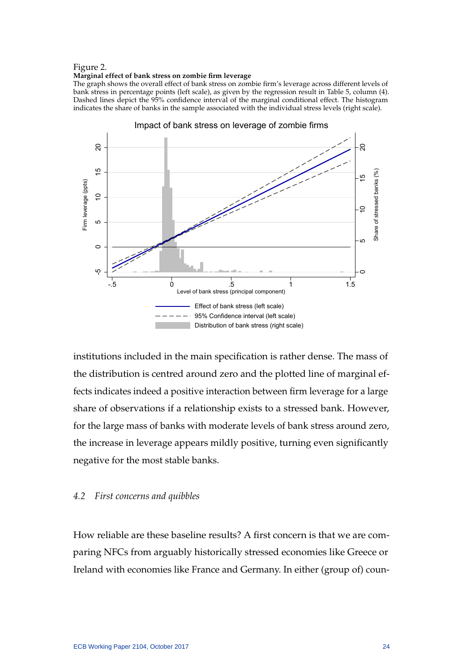#### Figure 2.

#### **Marginal effect of bank stress on zombie firm leverage**

The graph shows the overall effect of bank stress on zombie firm's leverage across different levels of bank stress in percentage points (left scale), as given by the regression result in Table 5, column (4). Dashed lines depict the 95% confidence interval of the marginal conditional effect. The histogram indicates the share of banks in the sample associated with the individual stress levels (right scale).



institutions included in the main specification is rather dense. The mass of the distribution is centred around zero and the plotted line of marginal effects indicates indeed a positive interaction between firm leverage for a large share of observations if a relationship exists to a stressed bank. However, for the large mass of banks with moderate levels of bank stress around zero, the increase in leverage appears mildly positive, turning even significantly negative for the most stable banks.

# *4.2 First concerns and quibbles*

How reliable are these baseline results? A first concern is that we are comparing NFCs from arguably historically stressed economies like Greece or Ireland with economies like France and Germany. In either (group of) coun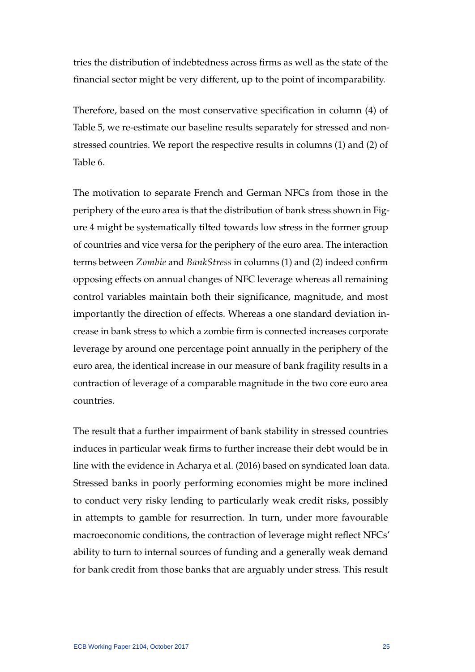tries the distribution of indebtedness across firms as well as the state of the financial sector might be very different, up to the point of incomparability.

Therefore, based on the most conservative specification in column (4) of Table 5, we re-estimate our baseline results separately for stressed and nonstressed countries. We report the respective results in columns (1) and (2) of Table 6.

The motivation to separate French and German NFCs from those in the periphery of the euro area is that the distribution of bank stress shown in Figure 4 might be systematically tilted towards low stress in the former group of countries and vice versa for the periphery of the euro area. The interaction terms between *Zombie* and *BankStress* in columns (1) and (2) indeed confirm opposing effects on annual changes of NFC leverage whereas all remaining control variables maintain both their significance, magnitude, and most importantly the direction of effects. Whereas a one standard deviation increase in bank stress to which a zombie firm is connected increases corporate leverage by around one percentage point annually in the periphery of the euro area, the identical increase in our measure of bank fragility results in a contraction of leverage of a comparable magnitude in the two core euro area countries.

The result that a further impairment of bank stability in stressed countries induces in particular weak firms to further increase their debt would be in line with the evidence in [Acharya et al.](#page-40-2) [\(2016\)](#page-40-2) based on syndicated loan data. Stressed banks in poorly performing economies might be more inclined to conduct very risky lending to particularly weak credit risks, possibly in attempts to gamble for resurrection. In turn, under more favourable macroeconomic conditions, the contraction of leverage might reflect NFCs' ability to turn to internal sources of funding and a generally weak demand for bank credit from those banks that are arguably under stress. This result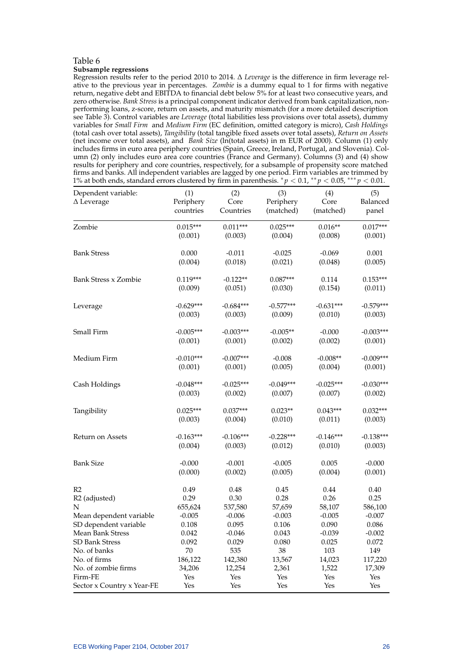#### Table 6 **Subsample regressions**

Regression results refer to the period 2010 to 2014. ∆ *Leverage* is the difference in firm leverage relative to the previous year in percentages. *Zombie* is a dummy equal to 1 for firms with negative return, negative debt and EBITDA to financial debt below 5% for at least two consecutive years, and zero otherwise. *Bank Stress* is a principal component indicator derived from bank capitalization, nonperforming loans, z-score, return on assets, and maturity mismatch (for a more detailed description see Table 3). Control variables are *Leverage* (total liabilities less provisions over total assets), dummy variables for *Small Firm* and *Medium Firm* (EC definition, omitted category is micro), *Cash Holdings* (total cash over total assets), *Tangibility* (total tangible fixed assets over total assets), *Return on Assets* (net income over total assets), and *Bank Size* (ln(total assets) in m EUR of 2000). Column (1) only includes firms in euro area periphery countries (Spain, Greece, Ireland, Portugal, and Slovenia). Column (2) only includes euro area core countries (France and Germany). Columns (3) and (4) show results for periphery and core countries, respectively, for a subsample of propensity score matched firms and banks. All independent variables are lagged by one period. Firm variables are trimmed by 1% at both ends, standard errors clustered by firm in parenthesis. <sup>∗</sup> *p* < 0.1, ∗∗ *p* < 0.05, ∗∗∗ *p* < 0.01.

| Dependent variable:        | (1)         | (2)         | (3)         | (4)         | (5)         |
|----------------------------|-------------|-------------|-------------|-------------|-------------|
| $\Delta$ Leverage          | Periphery   | Core        | Periphery   | Core        | Balanced    |
|                            | countries   | Countries   | (matched)   | (matched)   | panel       |
| Zombie                     | $0.015***$  | $0.011***$  | $0.025***$  | $0.016**$   | $0.017***$  |
|                            | (0.001)     | (0.003)     | (0.004)     | (0.008)     | (0.001)     |
| <b>Bank Stress</b>         | 0.000       | $-0.011$    | $-0.025$    | $-0.069$    | 0.001       |
|                            | (0.004)     | (0.018)     | (0.021)     | (0.048)     | (0.005)     |
| Bank Stress x Zombie       | $0.119***$  | $-0.122**$  | $0.087***$  | 0.114       | $0.153***$  |
|                            | (0.009)     | (0.051)     | (0.030)     | (0.154)     | (0.011)     |
| Leverage                   | $-0.629***$ | $-0.684***$ | $-0.577***$ | $-0.631***$ | $-0.579***$ |
|                            | (0.003)     | (0.003)     | (0.009)     | (0.010)     | (0.003)     |
| Small Firm                 | $-0.005***$ | $-0.003***$ | $-0.005**$  | $-0.000$    | $-0.003***$ |
|                            | (0.001)     | (0.001)     | (0.002)     | (0.002)     | (0.001)     |
| Medium Firm                | $-0.010***$ | $-0.007***$ | $-0.008$    | $-0.008**$  | $-0.009***$ |
|                            | (0.001)     | (0.001)     | (0.005)     | (0.004)     | (0.001)     |
| Cash Holdings              | $-0.048***$ | $-0.025***$ | $-0.049***$ | $-0.025***$ | $-0.030***$ |
|                            | (0.003)     | (0.002)     | (0.007)     | (0.007)     | (0.002)     |
| Tangibility                | $0.025***$  | $0.037***$  | $0.023**$   | $0.043***$  | $0.032***$  |
|                            | (0.003)     | (0.004)     | (0.010)     | (0.011)     | (0.003)     |
| Return on Assets           | $-0.163***$ | $-0.106***$ | $-0.228***$ | $-0.146***$ | $-0.138***$ |
|                            | (0.004)     | (0.003)     | (0.012)     | (0.010)     | (0.003)     |
| <b>Bank Size</b>           | $-0.000$    | $-0.001$    | $-0.005$    | 0.005       | $-0.000$    |
|                            | (0.000)     | (0.002)     | (0.005)     | (0.004)     | (0.001)     |
| R <sub>2</sub>             | 0.49        | 0.48        | 0.45        | 0.44        | 0.40        |
| R <sub>2</sub> (adjusted)  | 0.29        | 0.30        | 0.28        | 0.26        | 0.25        |
| N                          | 655,624     | 537,580     | 57,659      | 58,107      | 586,100     |
| Mean dependent variable    | $-0.005$    | $-0.006$    | $-0.003$    | $-0.005$    | $-0.007$    |
| SD dependent variable      | 0.108       | 0.095       | 0.106       | 0.090       | 0.086       |
| <b>Mean Bank Stress</b>    | 0.042       | $-0.046$    | 0.043       | $-0.039$    | $-0.002$    |
| <b>SD Bank Stress</b>      | 0.092       | 0.029       | 0.080       | 0.025       | 0.072       |
| No. of banks               | 70          | 535         | 38          | 103         | 149         |
| No. of firms               | 186,122     | 142,380     | 13,567      | 14,023      | 117,220     |
| No. of zombie firms        | 34,206      | 12,254      | 2,361       | 1,522       | 17,309      |
| Firm-FE                    | Yes         | Yes         | Yes         | Yes         | Yes         |
| Sector x Country x Year-FE | Yes         | Yes         | Yes         | Yes         | Yes         |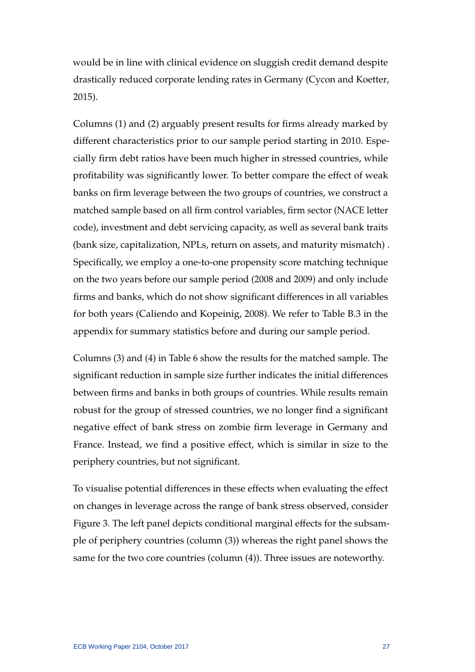would be in line with clinical evidence on sluggish credit demand despite drastically reduced corporate lending rates in Germany [\(Cycon and Koetter,](#page-40-3) [2015\)](#page-40-3).

Columns (1) and (2) arguably present results for firms already marked by different characteristics prior to our sample period starting in 2010. Especially firm debt ratios have been much higher in stressed countries, while profitability was significantly lower. To better compare the effect of weak banks on firm leverage between the two groups of countries, we construct a matched sample based on all firm control variables, firm sector (NACE letter code), investment and debt servicing capacity, as well as several bank traits (bank size, capitalization, NPLs, return on assets, and maturity mismatch) . Specifically, we employ a one-to-one propensity score matching technique on the two years before our sample period (2008 and 2009) and only include firms and banks, which do not show significant differences in all variables for both years [\(Caliendo and Kopeinig, 2008\)](#page-40-10). We refer to Table B.3 in the appendix for summary statistics before and during our sample period.

Columns (3) and (4) in Table 6 show the results for the matched sample. The significant reduction in sample size further indicates the initial differences between firms and banks in both groups of countries. While results remain robust for the group of stressed countries, we no longer find a significant negative effect of bank stress on zombie firm leverage in Germany and France. Instead, we find a positive effect, which is similar in size to the periphery countries, but not significant.

To visualise potential differences in these effects when evaluating the effect on changes in leverage across the range of bank stress observed, consider Figure 3. The left panel depicts conditional marginal effects for the subsample of periphery countries (column (3)) whereas the right panel shows the same for the two core countries (column (4)). Three issues are noteworthy.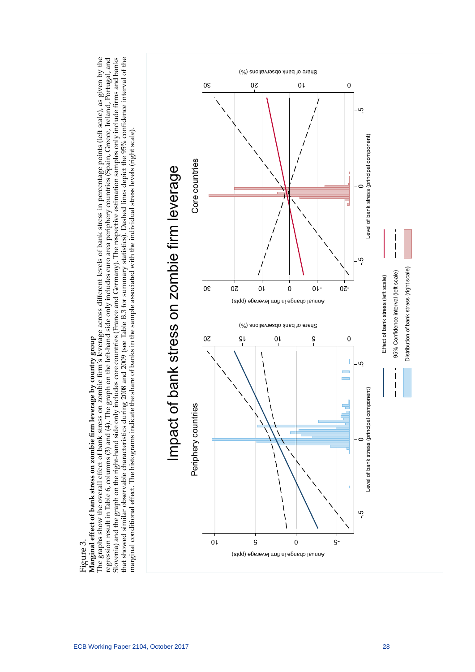# Marginal effect of bank stress on zombie firm leverage by country group

Slovenia) and the graph on the right-hand side only includes core countries (France and Germany). The respective estimation samples only include firms and banks Figure 3.<br>Marginal effect of bank stress on zombie firm leverage by country group<br>The graphs show the overall effect of bank stress on zombie firm's leverage across different levels of bank stress in percentage points (lef regression result in Table 6, columns (3) and (4). The graph on the left-hand side only includes euro area periphery countries (Spain, Greece, Ireland, Portugal, and hat showed similar observable characteristics during 2008 and 2009 (see Table B.3 for summary statistics). Dashed lines depict the 95% confidence interval of the The graphs show the overall effect of bank stress on zombie firm's leverage across different levels of bank stress in percentage points (left scale), as given by the regression result in Table 6, columns (3) and (4). The graph on the left-hand side only includes euro area periphery countries (Spain, Greece, Ireland, Portugal, and Slovenia) and the graph on the right-hand side only includes core countries (France and Germany). The respective estimation samples only include firms and banks that showed similar observable characteristics during 2008 and 2009 (see Table B.3 for summary statistics). Dashed lines depict the 95% confidence interval of the

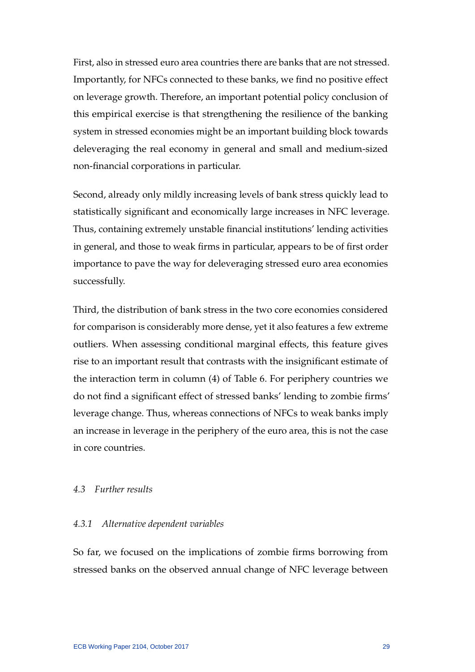First, also in stressed euro area countries there are banks that are not stressed. Importantly, for NFCs connected to these banks, we find no positive effect on leverage growth. Therefore, an important potential policy conclusion of this empirical exercise is that strengthening the resilience of the banking system in stressed economies might be an important building block towards deleveraging the real economy in general and small and medium-sized non-financial corporations in particular.

Second, already only mildly increasing levels of bank stress quickly lead to statistically significant and economically large increases in NFC leverage. Thus, containing extremely unstable financial institutions' lending activities in general, and those to weak firms in particular, appears to be of first order importance to pave the way for deleveraging stressed euro area economies successfully.

Third, the distribution of bank stress in the two core economies considered for comparison is considerably more dense, yet it also features a few extreme outliers. When assessing conditional marginal effects, this feature gives rise to an important result that contrasts with the insignificant estimate of the interaction term in column (4) of Table 6. For periphery countries we do not find a significant effect of stressed banks' lending to zombie firms' leverage change. Thus, whereas connections of NFCs to weak banks imply an increase in leverage in the periphery of the euro area, this is not the case in core countries.

# *4.3 Further results*

# *4.3.1 Alternative dependent variables*

So far, we focused on the implications of zombie firms borrowing from stressed banks on the observed annual change of NFC leverage between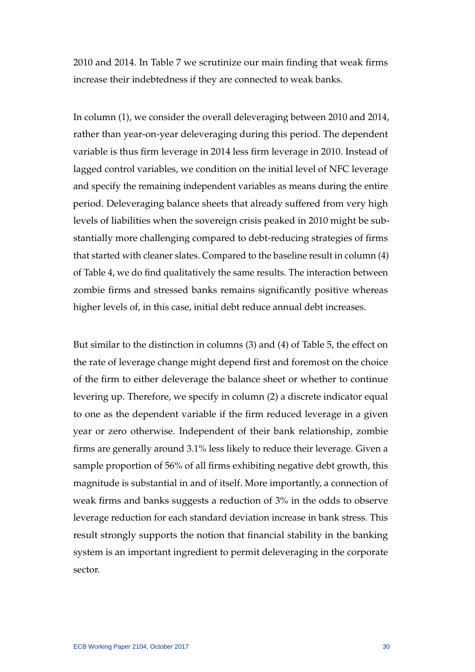2010 and 2014. In Table 7 we scrutinize our main finding that weak firms increase their indebtedness if they are connected to weak banks.

In column (1), we consider the overall deleveraging between 2010 and 2014, rather than year-on-year deleveraging during this period. The dependent variable is thus firm leverage in 2014 less firm leverage in 2010. Instead of lagged control variables, we condition on the initial level of NFC leverage and specify the remaining independent variables as means during the entire period. Deleveraging balance sheets that already suffered from very high levels of liabilities when the sovereign crisis peaked in 2010 might be substantially more challenging compared to debt-reducing strategies of firms that started with cleaner slates. Compared to the baseline result in column (4) of Table 4, we do find qualitatively the same results. The interaction between zombie firms and stressed banks remains significantly positive whereas higher levels of, in this case, initial debt reduce annual debt increases.

But similar to the distinction in columns (3) and (4) of Table 5, the effect on the rate of leverage change might depend first and foremost on the choice of the firm to either deleverage the balance sheet or whether to continue levering up. Therefore, we specify in column (2) a discrete indicator equal to one as the dependent variable if the firm reduced leverage in a given year or zero otherwise. Independent of their bank relationship, zombie firms are generally around 3.1% less likely to reduce their leverage. Given a sample proportion of 56% of all firms exhibiting negative debt growth, this magnitude is substantial in and of itself. More importantly, a connection of weak firms and banks suggests a reduction of 3% in the odds to observe leverage reduction for each standard deviation increase in bank stress. This result strongly supports the notion that financial stability in the banking system is an important ingredient to permit deleveraging in the corporate sector.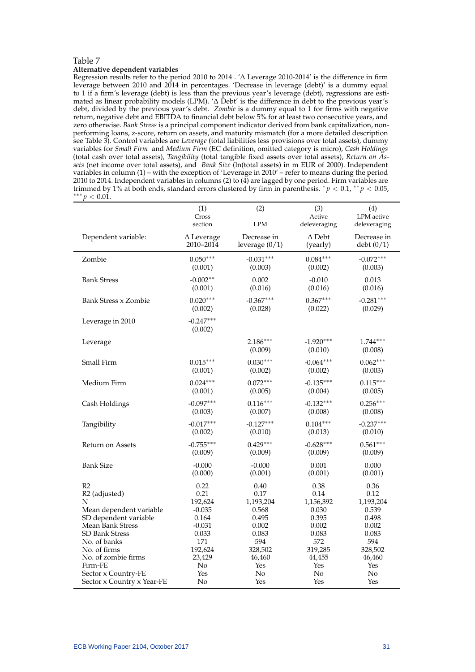#### Table 7 **Alternative dependent variables**

Regression results refer to the period 2010 to 2014 . '∆ Leverage 2010-2014' is the difference in firm leverage between 2010 and 2014 in percentages. 'Decrease in leverage (debt)' is a dummy equal to 1 if a firm's leverage (debt) is less than the previous year's leverage (debt), regressions are estimated as linear probability models (LPM). '∆ Debt' is the difference in debt to the previous year's debt, divided by the previous year's debt. *Zombie* is a dummy equal to 1 for firms with negative return, negative debt and EBITDA to financial debt below 5% for at least two consecutive years, and zero otherwise. *Bank Stress* is a principal component indicator derived from bank capitalization, nonperforming loans, z-score, return on assets, and maturity mismatch (for a more detailed description see Table 3). Control variables are *Leverage* (total liabilities less provisions over total assets), dummy variables for *Small Firm* and *Medium Firm* (EC definition, omitted category is micro), *Cash Holdings* (total cash over total assets), *Tangibility* (total tangible fixed assets over total assets), *Return on Assets* (net income over total assets), and *Bank Size* (ln(total assets) in m EUR of 2000). Independent variables in column (1) – with the exception of 'Leverage in 2010' – refer to means during the period 2010 to 2014. Independent variables in columns (2) to (4) are lagged by one period. Firm variables are trimmed by 1% at both ends, standard errors clustered by firm in parenthesis.  $\frac{k}{p}$  < 0.1,  $\frac{k}{p}$  < 0.05, ∗∗∗ *p* < 0.01.

|                                       | (1)<br>Cross                   | (2)                             | (3)<br>Active             | (4)<br>LPM active        |
|---------------------------------------|--------------------------------|---------------------------------|---------------------------|--------------------------|
|                                       | section                        | <b>LPM</b>                      | deleveraging              | deleveraging             |
| Dependent variable:                   | $\Delta$ Leverage<br>2010-2014 | Decrease in<br>leverage $(0/1)$ | $\Delta$ Debt<br>(yearly) | Decrease in<br>debt(0/1) |
| Zombie                                | $0.050***$<br>(0.001)          | $-0.031***$<br>(0.003)          | $0.084***$<br>(0.002)     | $-0.072***$<br>(0.003)   |
| <b>Bank Stress</b>                    | $-0.002**$<br>(0.001)          | 0.002<br>(0.016)                | $-0.010$<br>(0.016)       | 0.013<br>(0.016)         |
| Bank Stress x Zombie                  | $0.020***$<br>(0.002)          | $-0.367***$<br>(0.028)          | $0.367***$<br>(0.022)     | $-0.281***$<br>(0.029)   |
| Leverage in 2010                      | $-0.247***$<br>(0.002)         |                                 |                           |                          |
| Leverage                              |                                | $2.186***$<br>(0.009)           | $-1.920***$<br>(0.010)    | $1.744***$<br>(0.008)    |
| Small Firm                            | $0.015***$<br>(0.001)          | $0.030***$<br>(0.002)           | $-0.064***$<br>(0.002)    | $0.062***$<br>(0.003)    |
| Medium Firm                           | $0.024***$<br>(0.001)          | $0.072***$<br>(0.005)           | $-0.135***$<br>(0.004)    | $0.115***$<br>(0.005)    |
| Cash Holdings                         | $-0.097***$<br>(0.003)         | $0.116***$<br>(0.007)           | $-0.132***$<br>(0.008)    | $0.256***$<br>(0.008)    |
| Tangibility                           | $-0.017***$<br>(0.002)         | $-0.127***$<br>(0.010)          | $0.104***$<br>(0.013)     | $-0.237***$<br>(0.010)   |
| Return on Assets                      | $-0.755***$<br>(0.009)         | $0.429***$<br>(0.009)           | $-0.628***$<br>(0.009)    | $0.561***$<br>(0.009)    |
| <b>Bank Size</b>                      | $-0.000$<br>(0.000)            | $-0.000$<br>(0.001)             | 0.001<br>(0.001)          | 0.000<br>(0.001)         |
| R <sub>2</sub>                        | 0.22                           | 0.40                            | 0.38                      | 0.36                     |
| R <sub>2</sub> (adjusted)             | 0.21                           | 0.17                            | 0.14                      | 0.12                     |
| N                                     | 192,624                        | 1,193,204                       | 1,156,392                 | 1,193,204                |
| Mean dependent variable               | $-0.035$                       | 0.568                           | 0.030                     | 0.539                    |
| SD dependent variable                 | 0.164                          | 0.495                           | 0.395                     | 0.498                    |
| <b>Mean Bank Stress</b>               | $-0.031$                       | 0.002                           | 0.002                     | 0.002                    |
| <b>SD Bank Stress</b><br>No. of banks | 0.033<br>171                   | 0.083<br>594                    | 0.083<br>572              | 0.083<br>594             |
| No. of firms                          | 192,624                        | 328,502                         | 319,285                   | 328,502                  |
| No. of zombie firms                   | 23,429                         | 46,460                          | 44,455                    | 46,460                   |
| Firm-FE                               | No                             | Yes                             | Yes                       | Yes                      |
| Sector x Country-FE                   | Yes                            | No                              | No                        | No                       |
| Sector x Country x Year-FE            | No                             | Yes                             | Yes                       | Yes                      |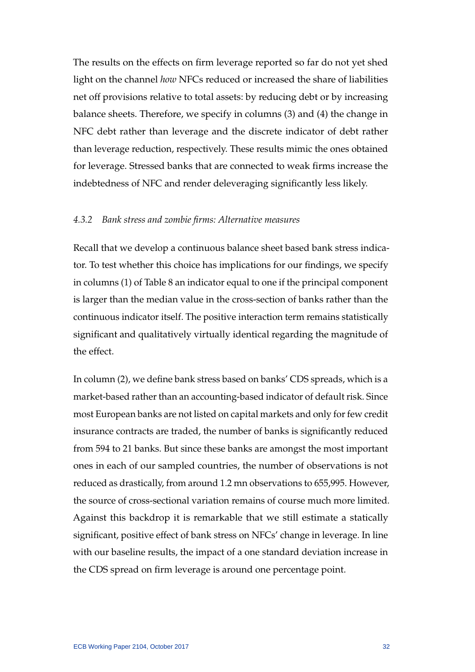The results on the effects on firm leverage reported so far do not yet shed light on the channel *how* NFCs reduced or increased the share of liabilities net off provisions relative to total assets: by reducing debt or by increasing balance sheets. Therefore, we specify in columns (3) and (4) the change in NFC debt rather than leverage and the discrete indicator of debt rather than leverage reduction, respectively. These results mimic the ones obtained for leverage. Stressed banks that are connected to weak firms increase the indebtedness of NFC and render deleveraging significantly less likely.

# *4.3.2 Bank stress and zombie firms: Alternative measures*

Recall that we develop a continuous balance sheet based bank stress indicator. To test whether this choice has implications for our findings, we specify in columns (1) of Table 8 an indicator equal to one if the principal component is larger than the median value in the cross-section of banks rather than the continuous indicator itself. The positive interaction term remains statistically significant and qualitatively virtually identical regarding the magnitude of the effect.

In column (2), we define bank stress based on banks' CDS spreads, which is a market-based rather than an accounting-based indicator of default risk. Since most European banks are not listed on capital markets and only for few credit insurance contracts are traded, the number of banks is significantly reduced from 594 to 21 banks. But since these banks are amongst the most important ones in each of our sampled countries, the number of observations is not reduced as drastically, from around 1.2 mn observations to 655,995. However, the source of cross-sectional variation remains of course much more limited. Against this backdrop it is remarkable that we still estimate a statically significant, positive effect of bank stress on NFCs' change in leverage. In line with our baseline results, the impact of a one standard deviation increase in the CDS spread on firm leverage is around one percentage point.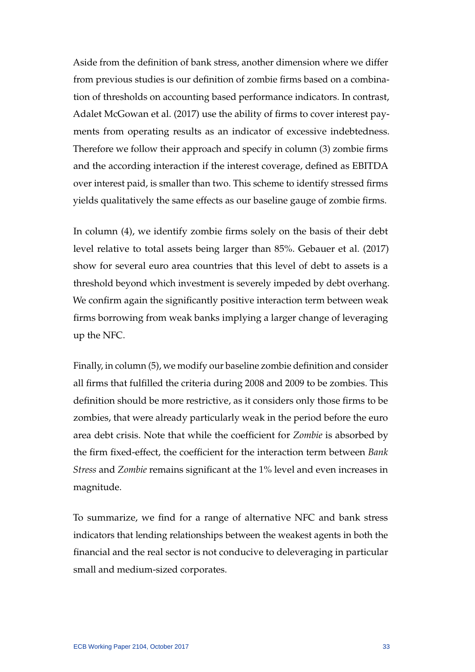Aside from the definition of bank stress, another dimension where we differ from previous studies is our definition of zombie firms based on a combination of thresholds on accounting based performance indicators. In contrast, [Adalet McGowan et al.](#page-40-8) [\(2017\)](#page-40-8) use the ability of firms to cover interest payments from operating results as an indicator of excessive indebtedness. Therefore we follow their approach and specify in column (3) zombie firms and the according interaction if the interest coverage, defined as EBITDA over interest paid, is smaller than two. This scheme to identify stressed firms yields qualitatively the same effects as our baseline gauge of zombie firms.

In column (4), we identify zombie firms solely on the basis of their debt level relative to total assets being larger than 85%. [Gebauer et al.](#page-41-12) [\(2017\)](#page-41-12) show for several euro area countries that this level of debt to assets is a threshold beyond which investment is severely impeded by debt overhang. We confirm again the significantly positive interaction term between weak firms borrowing from weak banks implying a larger change of leveraging up the NFC.

Finally, in column (5), we modify our baseline zombie definition and consider all firms that fulfilled the criteria during 2008 and 2009 to be zombies. This definition should be more restrictive, as it considers only those firms to be zombies, that were already particularly weak in the period before the euro area debt crisis. Note that while the coefficient for *Zombie* is absorbed by the firm fixed-effect, the coefficient for the interaction term between *Bank Stress* and *Zombie* remains significant at the 1% level and even increases in magnitude.

To summarize, we find for a range of alternative NFC and bank stress indicators that lending relationships between the weakest agents in both the financial and the real sector is not conducive to deleveraging in particular small and medium-sized corporates.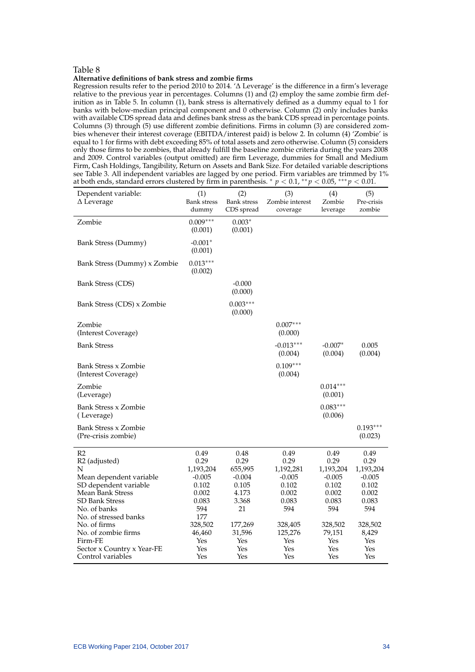#### Table 8

#### **Alternative definitions of bank stress and zombie firms**

Regression results refer to the period 2010 to 2014. '∆ Leverage' is the difference in a firm's leverage relative to the previous year in percentages. Columns (1) and (2) employ the same zombie firm definition as in Table 5. In column (1), bank stress is alternatively defined as a dummy equal to 1 for banks with below-median principal component and 0 otherwise. Column (2) only includes banks with available CDS spread data and defines bank stress as the bank CDS spread in percentage points. Columns (3) through (5) use different zombie definitions. Firms in column (3) are considered zombies whenever their interest coverage (EBITDA/interest paid) is below 2. In column (4) 'Zombie' is equal to 1 for firms with debt exceeding 85% of total assets and zero otherwise. Column (5) considers only those firms to be zombies, that already fulfill the baseline zombie criteria during the years 2008 and 2009. Control variables (output omitted) are firm Leverage, dummies for Small and Medium Firm, Cash Holdings, Tangibility, Return on Assets and Bank Size. For detailed variable descriptions see Table 3. All independent variables are lagged by one period. Firm variables are trimmed by 1% at both ends, standard errors clustered by firm in parenthesis. <sup>∗</sup> *p* < 0.1, ∗∗ *p* < 0.05, ∗∗∗ *p* < 0.01.

| Dependent variable:<br>$\Delta$ Leverage                                                                                                                                                                                                                                                        | (1)<br><b>Bank stress</b><br>dummy                                                                                       | (2)<br><b>Bank stress</b><br>CDS spread                                                                        | (3)<br>Zombie interest<br>coverage                                                                                 | (4)<br>Zombie<br>leverage                                                                                         | (5)<br>Pre-crisis<br>zombie                                                                                      |
|-------------------------------------------------------------------------------------------------------------------------------------------------------------------------------------------------------------------------------------------------------------------------------------------------|--------------------------------------------------------------------------------------------------------------------------|----------------------------------------------------------------------------------------------------------------|--------------------------------------------------------------------------------------------------------------------|-------------------------------------------------------------------------------------------------------------------|------------------------------------------------------------------------------------------------------------------|
| Zombie                                                                                                                                                                                                                                                                                          | $0.009***$<br>(0.001)                                                                                                    | $0.003*$<br>(0.001)                                                                                            |                                                                                                                    |                                                                                                                   |                                                                                                                  |
| <b>Bank Stress (Dummy)</b>                                                                                                                                                                                                                                                                      | $-0.001*$<br>(0.001)                                                                                                     |                                                                                                                |                                                                                                                    |                                                                                                                   |                                                                                                                  |
| Bank Stress (Dummy) x Zombie                                                                                                                                                                                                                                                                    | $0.013***$<br>(0.002)                                                                                                    |                                                                                                                |                                                                                                                    |                                                                                                                   |                                                                                                                  |
| Bank Stress (CDS)                                                                                                                                                                                                                                                                               |                                                                                                                          | $-0.000$<br>(0.000)                                                                                            |                                                                                                                    |                                                                                                                   |                                                                                                                  |
| Bank Stress (CDS) x Zombie                                                                                                                                                                                                                                                                      |                                                                                                                          | $0.003***$<br>(0.000)                                                                                          |                                                                                                                    |                                                                                                                   |                                                                                                                  |
| Zombie<br>(Interest Coverage)                                                                                                                                                                                                                                                                   |                                                                                                                          |                                                                                                                | $0.007***$<br>(0.000)                                                                                              |                                                                                                                   |                                                                                                                  |
| <b>Bank Stress</b>                                                                                                                                                                                                                                                                              |                                                                                                                          |                                                                                                                | $-0.013***$<br>(0.004)                                                                                             | $-0.007*$<br>(0.004)                                                                                              | 0.005<br>(0.004)                                                                                                 |
| Bank Stress x Zombie<br>(Interest Coverage)                                                                                                                                                                                                                                                     |                                                                                                                          |                                                                                                                | $0.109***$<br>(0.004)                                                                                              |                                                                                                                   |                                                                                                                  |
| Zombie<br>(Leverage)                                                                                                                                                                                                                                                                            |                                                                                                                          |                                                                                                                |                                                                                                                    | $0.014***$<br>(0.001)                                                                                             |                                                                                                                  |
| <b>Bank Stress x Zombie</b><br>(Leverage)                                                                                                                                                                                                                                                       |                                                                                                                          |                                                                                                                |                                                                                                                    | $0.083***$<br>(0.006)                                                                                             |                                                                                                                  |
| Bank Stress x Zombie<br>(Pre-crisis zombie)                                                                                                                                                                                                                                                     |                                                                                                                          |                                                                                                                |                                                                                                                    |                                                                                                                   | $0.193***$<br>(0.023)                                                                                            |
| R <sub>2</sub><br>R <sub>2</sub> (adjusted)<br>N<br>Mean dependent variable<br>SD dependent variable<br>Mean Bank Stress<br><b>SD Bank Stress</b><br>No. of banks<br>No. of stressed banks<br>No. of firms<br>No. of zombie firms<br>Firm-FE<br>Sector x Country x Year-FE<br>Control variables | 0.49<br>0.29<br>1,193,204<br>$-0.005$<br>0.102<br>0.002<br>0.083<br>594<br>177<br>328,502<br>46,460<br>Yes<br>Yes<br>Yes | 0.48<br>0.29<br>655,995<br>$-0.004$<br>0.105<br>4.173<br>3.368<br>21<br>177,269<br>31,596<br>Yes<br>Yes<br>Yes | 0.49<br>0.29<br>1,192,281<br>$-0.005$<br>0.102<br>0.002<br>0.083<br>594<br>328,405<br>125,276<br>Yes<br>Yes<br>Yes | 0.49<br>0.29<br>1,193,204<br>$-0.005$<br>0.102<br>0.002<br>0.083<br>594<br>328,502<br>79,151<br>Yes<br>Yes<br>Yes | 0.49<br>0.29<br>1,193,204<br>$-0.005$<br>0.102<br>0.002<br>0.083<br>594<br>328,502<br>8,429<br>Yes<br>Yes<br>Yes |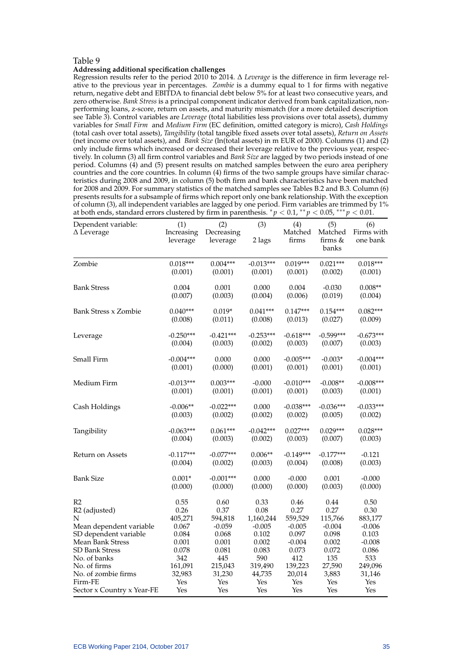#### Table 9

#### **Addressing additional specification challenges**

Regression results refer to the period 2010 to 2014. ∆ *Leverage* is the difference in firm leverage relative to the previous year in percentages. *Zombie* is a dummy equal to 1 for firms with negative return, negative debt and EBITDA to financial debt below 5% for at least two consecutive years, and zero otherwise. *Bank Stress* is a principal component indicator derived from bank capitalization, nonperforming loans, z-score, return on assets, and maturity mismatch (for a more detailed description see Table 3). Control variables are *Leverage* (total liabilities less provisions over total assets), dummy variables for *Small Firm* and *Medium Firm* (EC definition, omitted category is micro), *Cash Holdings* (total cash over total assets), *Tangibility* (total tangible fixed assets over total assets), *Return on Assets* (net income over total assets), and *Bank Size* (ln(total assets) in m EUR of 2000). Columns (1) and (2) only include firms which increased or decreased their leverage relative to the previous year, respectively. In column (3) all firm control variables and *Bank Size* are lagged by two periods instead of one period. Columns (4) and (5) present results on matched samples between the euro area periphery countries and the core countries. In column (4) firms of the two sample groups have similar characteristics during 2008 and 2009, in column (5) both firm and bank characteristics have been matched for 2008 and 2009. For summary statistics of the matched samples see Tables B.2 and B.3. Column (6) presents results for a subsample of firms which report only one bank relationship. With the exception of column (3), all independent variables are lagged by one period. Firm variables are trimmed by 1% at both ends, standard errors clustered by firm in parenthesis.  $p < 0.1$ , \*\* $p < 0.05$ , \*\*\* $p < 0.01$ .

| Dependent variable:<br>$\Delta$ Leverage  | (1)<br>Increasing | (2)<br>Decreasing | (3)            | (4)<br>Matched    | (5)<br>Matched   | (6)<br>Firms with |
|-------------------------------------------|-------------------|-------------------|----------------|-------------------|------------------|-------------------|
|                                           | leverage          | leverage          | 2 lags         | firms             | firms &<br>banks | one bank          |
| Zombie                                    | $0.018***$        | $0.004***$        | $-0.013***$    | $0.019***$        | $0.021***$       | $0.018***$        |
|                                           | (0.001)           | (0.001)           | (0.001)        | (0.001)           | (0.002)          | (0.001)           |
| <b>Bank Stress</b>                        | 0.004             | 0.001             | 0.000          | 0.004             | $-0.030$         | $0.008**$         |
|                                           | (0.007)           | (0.003)           | (0.004)        | (0.006)           | (0.019)          | (0.004)           |
| <b>Bank Stress x Zombie</b>               | $0.040***$        | $0.019*$          | $0.041***$     | $0.147***$        | $0.154***$       | $0.082***$        |
|                                           | (0.008)           | (0.011)           | (0.008)        | (0.013)           | (0.027)          | (0.009)           |
| Leverage                                  | $-0.250***$       | $-0.421***$       | $-0.253***$    | $-0.618***$       | $-0.599***$      | $-0.673***$       |
|                                           | (0.004)           | (0.003)           | (0.002)        | (0.003)           | (0.007)          | (0.003)           |
| Small Firm                                | $-0.004***$       | 0.000             | 0.000          | $-0.005***$       | $-0.003*$        | $-0.004***$       |
|                                           | (0.001)           | (0.000)           | (0.001)        | (0.001)           | (0.001)          | (0.001)           |
| Medium Firm                               | $-0.013***$       | $0.003***$        | $-0.000$       | $-0.010***$       | $-0.008**$       | $-0.008***$       |
|                                           | (0.001)           | (0.001)           | (0.001)        | (0.001)           | (0.003)          | (0.001)           |
| Cash Holdings                             | $-0.006**$        | $-0.022***$       | 0.000          | $-0.038***$       | $-0.036***$      | $-0.033***$       |
|                                           | (0.003)           | (0.002)           | (0.002)        | (0.002)           | (0.005)          | (0.002)           |
| Tangibility                               | $-0.063***$       | $0.061***$        | $-0.042***$    | $0.027***$        | $0.029***$       | $0.028***$        |
|                                           | (0.004)           | (0.003)           | (0.002)        | (0.003)           | (0.007)          | (0.003)           |
| Return on Assets                          | $-0.117***$       | $-0.077***$       | $0.006**$      | $-0.149***$       | $-0.177***$      | $-0.121$          |
|                                           | (0.004)           | (0.002)           | (0.003)        | (0.004)           | (0.008)          | (0.003)           |
| <b>Bank Size</b>                          | $0.001*$          | $-0.001***$       | 0.000          | $-0.000$          | 0.001            | $-0.000$          |
|                                           | (0.000)           | (0.000)           | (0.000)        | (0.000)           | (0.003)          | (0.000)           |
| R <sub>2</sub>                            | 0.55              | 0.60              | 0.33           | 0.46              | 0.44             | 0.50              |
| R <sub>2</sub> (adjusted)                 | 0.26              | 0.37              | 0.08           | 0.27              | 0.27             | 0.30              |
| N                                         | 405,271           | 594,818           | 1,160,244      | 559,529           | 115,766          | 883,177           |
| Mean dependent variable                   | 0.067             | $-0.059$          | $-0.005$       | $-0.005$          | $-0.004$         | $-0.006$          |
| SD dependent variable                     | 0.084             | 0.068             | 0.102          | 0.097             | 0.098            | 0.103             |
| Mean Bank Stress<br><b>SD Bank Stress</b> | 0.001<br>0.078    | 0.001<br>0.081    | 0.002<br>0.083 | $-0.004$<br>0.073 | 0.002<br>0.072   | $-0.008$<br>0.086 |
| No. of banks                              | 342               | 445               | 590            | 412               | 135              | 533               |
| No. of firms                              | 161,091           | 215,043           | 319,490        | 139,223           | 27,590           | 249,096           |
| No. of zombie firms                       | 32,983            | 31,230            | 44,735         | 20,014            | 3,883            | 31,146            |
| Firm-FE                                   | Yes               | Yes               | Yes            | Yes               | Yes              | Yes               |
| Sector x Country x Year-FE                | Yes               | Yes               | Yes            | Yes               | Yes              | Yes               |
|                                           |                   |                   |                |                   |                  |                   |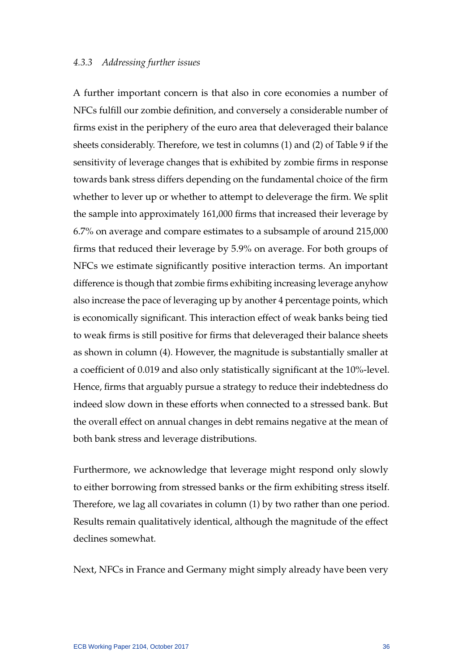### *4.3.3 Addressing further issues*

A further important concern is that also in core economies a number of NFCs fulfill our zombie definition, and conversely a considerable number of firms exist in the periphery of the euro area that deleveraged their balance sheets considerably. Therefore, we test in columns (1) and (2) of Table 9 if the sensitivity of leverage changes that is exhibited by zombie firms in response towards bank stress differs depending on the fundamental choice of the firm whether to lever up or whether to attempt to deleverage the firm. We split the sample into approximately 161,000 firms that increased their leverage by 6.7% on average and compare estimates to a subsample of around 215,000 firms that reduced their leverage by 5.9% on average. For both groups of NFCs we estimate significantly positive interaction terms. An important difference is though that zombie firms exhibiting increasing leverage anyhow also increase the pace of leveraging up by another 4 percentage points, which is economically significant. This interaction effect of weak banks being tied to weak firms is still positive for firms that deleveraged their balance sheets as shown in column (4). However, the magnitude is substantially smaller at a coefficient of 0.019 and also only statistically significant at the 10%-level. Hence, firms that arguably pursue a strategy to reduce their indebtedness do indeed slow down in these efforts when connected to a stressed bank. But the overall effect on annual changes in debt remains negative at the mean of both bank stress and leverage distributions.

Furthermore, we acknowledge that leverage might respond only slowly to either borrowing from stressed banks or the firm exhibiting stress itself. Therefore, we lag all covariates in column (1) by two rather than one period. Results remain qualitatively identical, although the magnitude of the effect declines somewhat.

Next, NFCs in France and Germany might simply already have been very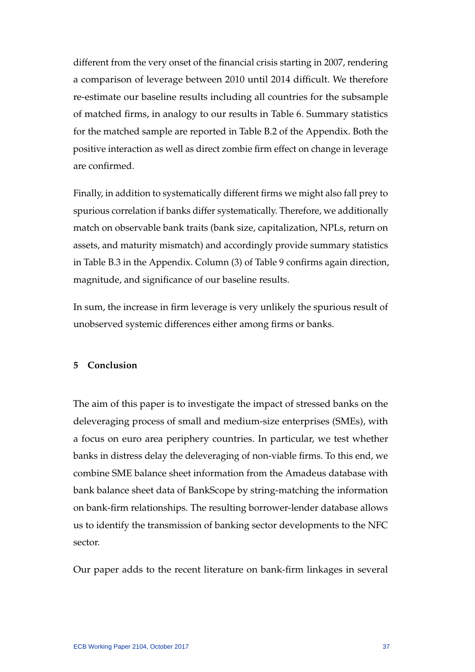different from the very onset of the financial crisis starting in 2007, rendering a comparison of leverage between 2010 until 2014 difficult. We therefore re-estimate our baseline results including all countries for the subsample of matched firms, in analogy to our results in Table 6. Summary statistics for the matched sample are reported in Table B.2 of the Appendix. Both the positive interaction as well as direct zombie firm effect on change in leverage are confirmed.

Finally, in addition to systematically different firms we might also fall prey to spurious correlation if banks differ systematically. Therefore, we additionally match on observable bank traits (bank size, capitalization, NPLs, return on assets, and maturity mismatch) and accordingly provide summary statistics in Table B.3 in the Appendix. Column (3) of Table 9 confirms again direction, magnitude, and significance of our baseline results.

In sum, the increase in firm leverage is very unlikely the spurious result of unobserved systemic differences either among firms or banks.

# **5 Conclusion**

The aim of this paper is to investigate the impact of stressed banks on the deleveraging process of small and medium-size enterprises (SMEs), with a focus on euro area periphery countries. In particular, we test whether banks in distress delay the deleveraging of non-viable firms. To this end, we combine SME balance sheet information from the Amadeus database with bank balance sheet data of BankScope by string-matching the information on bank-firm relationships. The resulting borrower-lender database allows us to identify the transmission of banking sector developments to the NFC sector.

Our paper adds to the recent literature on bank-firm linkages in several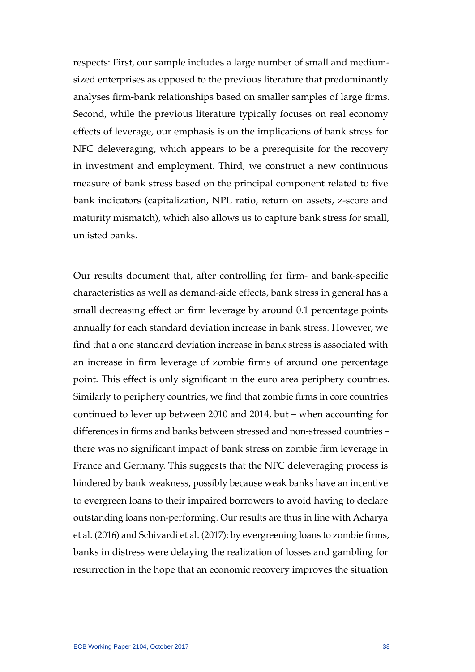respects: First, our sample includes a large number of small and mediumsized enterprises as opposed to the previous literature that predominantly analyses firm-bank relationships based on smaller samples of large firms. Second, while the previous literature typically focuses on real economy effects of leverage, our emphasis is on the implications of bank stress for NFC deleveraging, which appears to be a prerequisite for the recovery in investment and employment. Third, we construct a new continuous measure of bank stress based on the principal component related to five bank indicators (capitalization, NPL ratio, return on assets, z-score and maturity mismatch), which also allows us to capture bank stress for small, unlisted banks.

Our results document that, after controlling for firm- and bank-specific characteristics as well as demand-side effects, bank stress in general has a small decreasing effect on firm leverage by around 0.1 percentage points annually for each standard deviation increase in bank stress. However, we find that a one standard deviation increase in bank stress is associated with an increase in firm leverage of zombie firms of around one percentage point. This effect is only significant in the euro area periphery countries. Similarly to periphery countries, we find that zombie firms in core countries continued to lever up between 2010 and 2014, but – when accounting for differences in firms and banks between stressed and non-stressed countries – there was no significant impact of bank stress on zombie firm leverage in France and Germany. This suggests that the NFC deleveraging process is hindered by bank weakness, possibly because weak banks have an incentive to evergreen loans to their impaired borrowers to avoid having to declare outstanding loans non-performing. Our results are thus in line with [Acharya](#page-40-2) [et al.](#page-40-2) [\(2016\)](#page-40-2) and [Schivardi et al.](#page-42-3) [\(2017\)](#page-42-3): by evergreening loans to zombie firms, banks in distress were delaying the realization of losses and gambling for resurrection in the hope that an economic recovery improves the situation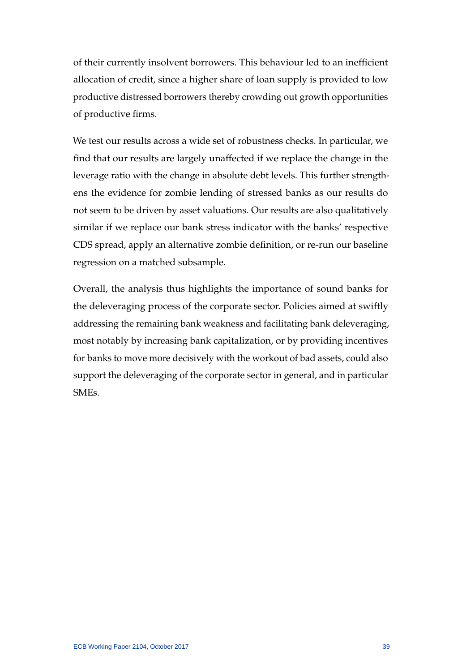of their currently insolvent borrowers. This behaviour led to an inefficient allocation of credit, since a higher share of loan supply is provided to low productive distressed borrowers thereby crowding out growth opportunities of productive firms.

We test our results across a wide set of robustness checks. In particular, we find that our results are largely unaffected if we replace the change in the leverage ratio with the change in absolute debt levels. This further strengthens the evidence for zombie lending of stressed banks as our results do not seem to be driven by asset valuations. Our results are also qualitatively similar if we replace our bank stress indicator with the banks' respective CDS spread, apply an alternative zombie definition, or re-run our baseline regression on a matched subsample.

Overall, the analysis thus highlights the importance of sound banks for the deleveraging process of the corporate sector. Policies aimed at swiftly addressing the remaining bank weakness and facilitating bank deleveraging, most notably by increasing bank capitalization, or by providing incentives for banks to move more decisively with the workout of bad assets, could also support the deleveraging of the corporate sector in general, and in particular SMEs.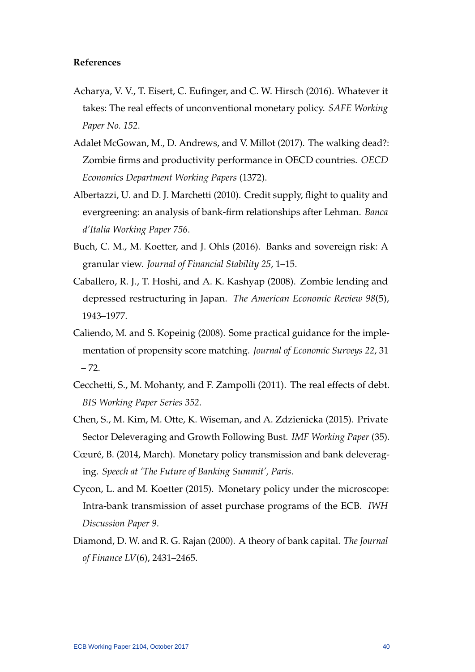# **References**

- <span id="page-40-2"></span>Acharya, V. V., T. Eisert, C. Eufinger, and C. W. Hirsch (2016). Whatever it takes: The real effects of unconventional monetary policy. *SAFE Working Paper No. 152*.
- <span id="page-40-8"></span>Adalet McGowan, M., D. Andrews, and V. Millot (2017). The walking dead?: Zombie firms and productivity performance in OECD countries. *OECD Economics Department Working Papers* (1372).
- <span id="page-40-9"></span>Albertazzi, U. and D. J. Marchetti (2010). Credit supply, flight to quality and evergreening: an analysis of bank-firm relationships after Lehman. *Banca d'Italia Working Paper 756*.
- <span id="page-40-5"></span>Buch, C. M., M. Koetter, and J. Ohls (2016). Banks and sovereign risk: A granular view. *Journal of Financial Stability 25*, 1–15.
- <span id="page-40-6"></span>Caballero, R. J., T. Hoshi, and A. K. Kashyap (2008). Zombie lending and depressed restructuring in Japan. *The American Economic Review 98*(5), 1943–1977.
- <span id="page-40-10"></span>Caliendo, M. and S. Kopeinig (2008). Some practical guidance for the implementation of propensity score matching. *Journal of Economic Surveys 22*, 31 – 72.
- <span id="page-40-0"></span>Cecchetti, S., M. Mohanty, and F. Zampolli (2011). The real effects of debt. *BIS Working Paper Series 352*.
- <span id="page-40-1"></span>Chen, S., M. Kim, M. Otte, K. Wiseman, and A. Zdzienicka (2015). Private Sector Deleveraging and Growth Following Bust. *IMF Working Paper* (35).
- <span id="page-40-4"></span>Cœuré, B. (2014, March). Monetary policy transmission and bank deleveraging. *Speech at 'The Future of Banking Summit', Paris*.
- <span id="page-40-3"></span>Cycon, L. and M. Koetter (2015). Monetary policy under the microscope: Intra-bank transmission of asset purchase programs of the ECB. *IWH Discussion Paper 9*.
- <span id="page-40-7"></span>Diamond, D. W. and R. G. Rajan (2000). A theory of bank capital. *The Journal of Finance LV*(6), 2431–2465.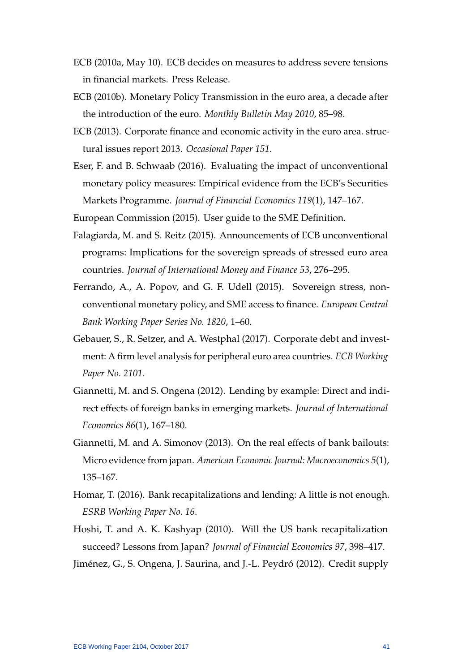- <span id="page-41-1"></span>ECB (2010a, May 10). ECB decides on measures to address severe tensions in financial markets. Press Release.
- <span id="page-41-2"></span>ECB (2010b). Monetary Policy Transmission in the euro area, a decade after the introduction of the euro. *Monthly Bulletin May 2010*, 85–98.
- <span id="page-41-0"></span>ECB (2013). Corporate finance and economic activity in the euro area. structural issues report 2013. *Occasional Paper 151*.
- <span id="page-41-8"></span>Eser, F. and B. Schwaab (2016). Evaluating the impact of unconventional monetary policy measures: Empirical evidence from the ECB's Securities Markets Programme. *Journal of Financial Economics 119*(1), 147–167.
- <span id="page-41-11"></span><span id="page-41-3"></span>European Commission (2015). User guide to the SME Definition.
- Falagiarda, M. and S. Reitz (2015). Announcements of ECB unconventional programs: Implications for the sovereign spreads of stressed euro area countries. *Journal of International Money and Finance 53*, 276–295.
- <span id="page-41-9"></span>Ferrando, A., A. Popov, and G. F. Udell (2015). Sovereign stress, nonconventional monetary policy, and SME access to finance. *European Central Bank Working Paper Series No. 1820*, 1–60.
- <span id="page-41-12"></span>Gebauer, S., R. Setzer, and A. Westphal (2017). Corporate debt and investment: A firm level analysis for peripheral euro area countries. *ECB Working Paper No. 2101*.
- <span id="page-41-10"></span>Giannetti, M. and S. Ongena (2012). Lending by example: Direct and indirect effects of foreign banks in emerging markets. *Journal of International Economics 86*(1), 167–180.
- <span id="page-41-7"></span>Giannetti, M. and A. Simonov (2013). On the real effects of bank bailouts: Micro evidence from japan. *American Economic Journal: Macroeconomics 5*(1), 135–167.
- <span id="page-41-6"></span>Homar, T. (2016). Bank recapitalizations and lending: A little is not enough. *ESRB Working Paper No. 16*.
- <span id="page-41-5"></span>Hoshi, T. and A. K. Kashyap (2010). Will the US bank recapitalization succeed? Lessons from Japan? *Journal of Financial Economics 97*, 398–417.
- <span id="page-41-4"></span>Jiménez, G., S. Ongena, J. Saurina, and J.-L. Peydró (2012). Credit supply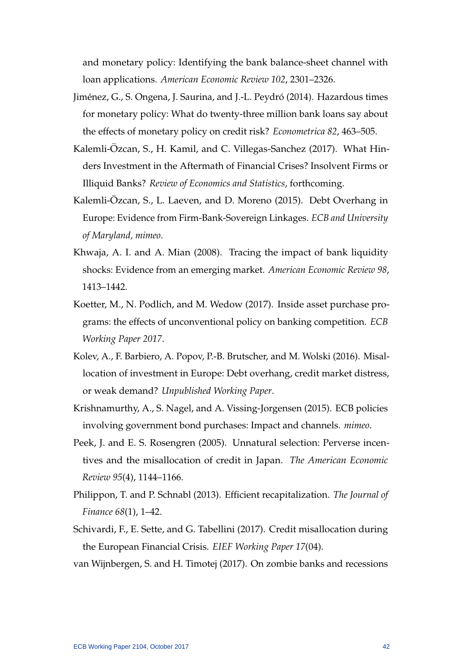and monetary policy: Identifying the bank balance-sheet channel with loan applications. *American Economic Review 102*, 2301–2326.

- <span id="page-42-2"></span>Jiménez, G., S. Ongena, J. Saurina, and J.-L. Peydró (2014). Hazardous times for monetary policy: What do twenty-three million bank loans say about the effects of monetary policy on credit risk? *Econometrica 82*, 463–505.
- <span id="page-42-4"></span>Kalemli-Özcan, S., H. Kamil, and C. Villegas-Sanchez (2017). What Hinders Investment in the Aftermath of Financial Crises? Insolvent Firms or Illiquid Banks? *Review of Economics and Statistics*, forthcoming.
- <span id="page-42-5"></span>Kalemli-Özcan, S., L. Laeven, and D. Moreno (2015). Debt Overhang in Europe: Evidence from Firm-Bank-Sovereign Linkages. *ECB and University of Maryland, mimeo*.
- <span id="page-42-9"></span>Khwaja, A. I. and A. Mian (2008). Tracing the impact of bank liquidity shocks: Evidence from an emerging market. *American Economic Review 98*, 1413–1442.
- <span id="page-42-1"></span>Koetter, M., N. Podlich, and M. Wedow (2017). Inside asset purchase programs: the effects of unconventional policy on banking competition. *ECB Working Paper 2017*.
- <span id="page-42-10"></span>Kolev, A., F. Barbiero, A. Popov, P.-B. Brutscher, and M. Wolski (2016). Misallocation of investment in Europe: Debt overhang, credit market distress, or weak demand? *Unpublished Working Paper*.
- <span id="page-42-0"></span>Krishnamurthy, A., S. Nagel, and A. Vissing-Jorgensen (2015). ECB policies involving government bond purchases: Impact and channels. *mimeo*.
- <span id="page-42-6"></span>Peek, J. and E. S. Rosengren (2005). Unnatural selection: Perverse incentives and the misallocation of credit in Japan. *The American Economic Review 95*(4), 1144–1166.
- <span id="page-42-7"></span>Philippon, T. and P. Schnabl (2013). Efficient recapitalization. *The Journal of Finance 68*(1), 1–42.
- <span id="page-42-3"></span>Schivardi, F., E. Sette, and G. Tabellini (2017). Credit misallocation during the European Financial Crisis. *EIEF Working Paper 17*(04).
- <span id="page-42-8"></span>van Wijnbergen, S. and H. Timotej (2017). On zombie banks and recessions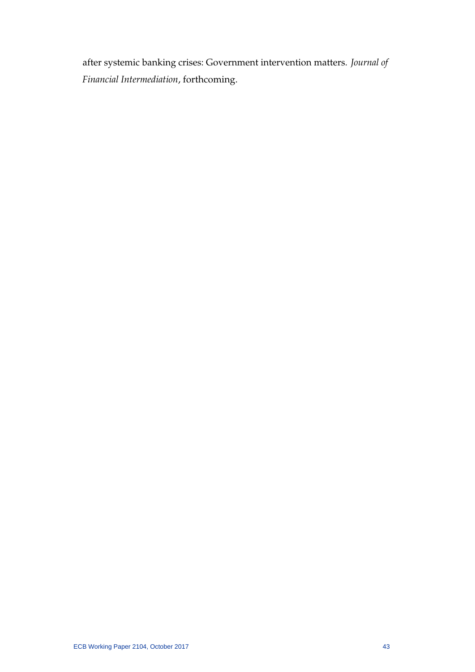after systemic banking crises: Government intervention matters. *Journal of Financial Intermediation*, forthcoming.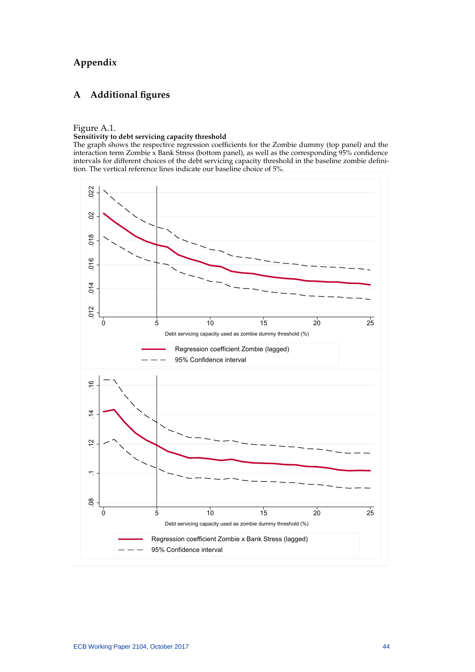# **Appendix**

# **A Additional figures**

#### Figure A.1.

#### **Sensitivity to debt servicing capacity threshold**

The graph shows the respective regression coefficients for the Zombie dummy (top panel) and the interaction term Zombie x Bank Stress (bottom panel), as well as the corresponding  $95\%$  confidence intervals for different choices of the debt servicing capacity threshold in the baseline zombie definition. The vertical reference lines indicate our baseline choice of 5%.

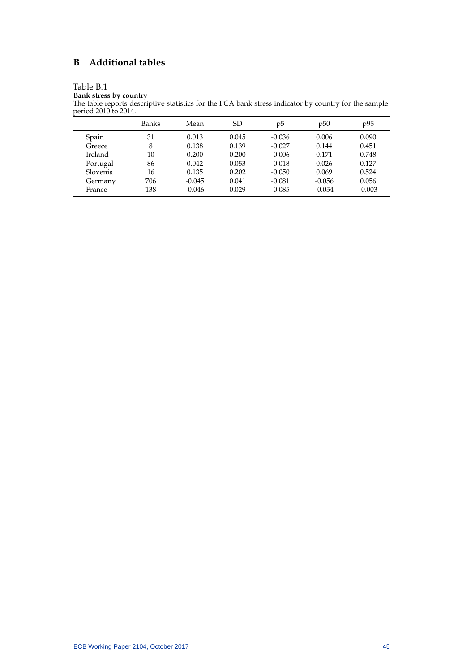# **B Additional tables**

# Table B.1

**Bank stress by country**

The table reports descriptive statistics for the PCA bank stress indicator by country for the sample period 2010 to 2014.

|          | Banks | Mean     | <sub>SD</sub> | p5       | p50      | p95      |
|----------|-------|----------|---------------|----------|----------|----------|
| Spain    | 31    | 0.013    | 0.045         | $-0.036$ | 0.006    | 0.090    |
| Greece   | 8     | 0.138    | 0.139         | $-0.027$ | 0.144    | 0.451    |
| Ireland  | 10    | 0.200    | 0.200         | $-0.006$ | 0.171    | 0.748    |
| Portugal | 86    | 0.042    | 0.053         | $-0.018$ | 0.026    | 0.127    |
| Slovenia | 16    | 0.135    | 0.202         | $-0.050$ | 0.069    | 0.524    |
| Germany  | 706   | $-0.045$ | 0.041         | $-0.081$ | $-0.056$ | 0.056    |
| France   | 138   | $-0.046$ | 0.029         | $-0.085$ | $-0.054$ | $-0.003$ |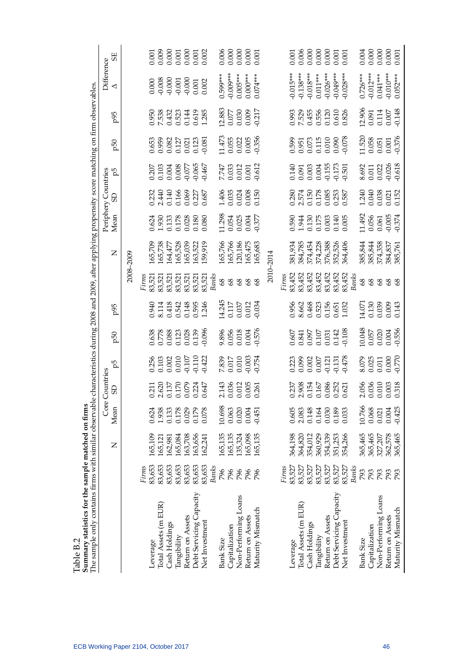|                                                                                                                                  | 55                       |           |                 |                                  | $\begin{array}{l} 0.001 \\ 0.008 \\ 0.001 \\ 0.001 \\ 0.000 \\ 0.001 \\ 0.002 \\ 0.002 \end{array}$   |                                       |                         |                |                         |                    | $0.006$<br>$0.000$<br>$0.000$<br>$0.001$                                          |                    |                   |           |       | 0.001                                                                                         |                      | $\begin{array}{r} 0.006 \\ 0.000 \\ 0.000 \\ 0.000 \\ 0.001 \\ 0.001 \\ 0.001 \\ \end{array}$ |                  |                  |                         |                        |                  |                |                      | $0.004$<br>$0.000$<br>$0.000$<br>$0.001$                                            |
|----------------------------------------------------------------------------------------------------------------------------------|--------------------------|-----------|-----------------|----------------------------------|-------------------------------------------------------------------------------------------------------|---------------------------------------|-------------------------|----------------|-------------------------|--------------------|-----------------------------------------------------------------------------------|--------------------|-------------------|-----------|-------|-----------------------------------------------------------------------------------------------|----------------------|-----------------------------------------------------------------------------------------------|------------------|------------------|-------------------------|------------------------|------------------|----------------|----------------------|-------------------------------------------------------------------------------------|
|                                                                                                                                  | Difference<br>◁          |           |                 |                                  | $\begin{array}{l} 0.000 \\ -0.008 \\ -0.001 \\ -0.001 \\ -0.001 \\ 0.001 \\ 0.002 \end{array}$        |                                       |                         |                | $0.599***$              | $-0.009***$        | $0.005***$                                                                        | $0.000***$         | $0.074***$        |           |       | $0.015**$                                                                                     | $0.138***$           | $0.018***$                                                                                    | $0.011***$       | $0.026***$       | $0.049***$              | $0.028***$             | $0.726***$       | $0.012***$     | $0.041***$           | $-0.010***$<br>0.052***                                                             |
|                                                                                                                                  | p95                      |           |                 |                                  | 950<br>7.538<br>0.523<br>0.619<br>0.619<br>0.619                                                      |                                       |                         |                |                         |                    | $12.883$<br>0.077<br>0.030<br>0.009<br>0.0217                                     |                    |                   |           |       | 0.993<br>7.529<br>0.556<br>0.610<br>0.626                                                     |                      |                                                                                               |                  |                  |                         |                        |                  |                |                      | 12.906<br>0.091<br>0.114<br>0.007<br>0.007                                          |
|                                                                                                                                  | p50                      |           |                 |                                  | 0.653<br>0.959<br>0.021<br>0.021<br>0.081<br>0.061                                                    |                                       |                         |                |                         |                    | $\begin{array}{c} 1.473 \\ 0.055 \\ 0.022 \\ 0.005 \\ 0.005 \\ 0.356 \end{array}$ |                    |                   |           |       | 0.599<br>0.951<br>0.073<br>0.010<br>0.000<br>0.090                                            |                      |                                                                                               |                  |                  |                         |                        |                  |                |                      | $\begin{array}{c} 11.520 \\ 0.058 \\ 0.051 \\ 0.001 \\ 0.001 \\ -0.376 \end{array}$ |
|                                                                                                                                  | р5                       |           |                 |                                  | $\begin{array}{c} 0.207 \\ 0.103 \\ 0.004 \\ 0.008 \\ 0.008 \\ 0.077 \\ 0.65 \\ 0.467 \\ \end{array}$ |                                       |                         |                |                         |                    | $7.747$<br>$0.033$<br>$0.012$<br>$0.001$<br>$0.001$<br>$0.612$                    |                    |                   |           |       | $\begin{array}{c} 0.140 \\ 0.091 \\ 0.003 \\ 0.004 \\ 0.155 \\ 0.153 \\ 0.173 \\ \end{array}$ |                      |                                                                                               |                  |                  |                         |                        |                  |                |                      | 8.692<br>0.011<br>0.022<br>0.026<br>0.618                                           |
|                                                                                                                                  | Periphery Countries<br>ය |           |                 |                                  | 232<br>2.440<br>2.140<br>2.0.0.277<br>2.0.0.0.0.0.0                                                   |                                       |                         |                |                         |                    | 1.406<br>0.035<br>0.024<br>0.08<br>0.150                                          |                    |                   |           |       | 0.280<br>2.574<br>0.178<br>0.0.253<br>0.587                                                   |                      |                                                                                               |                  |                  |                         |                        |                  |                |                      | 1.240<br>0.040<br>0.038<br>0.021<br>0.152                                           |
|                                                                                                                                  | Mean                     |           |                 |                                  | 0.624<br>1.930<br>1.178<br>0.028<br>0.080                                                             |                                       |                         |                |                         |                    | 11.298<br>0.054<br>0.025<br>0.004<br>0.377                                        |                    |                   |           |       | 0.590                                                                                         |                      | 1.944<br>0.130<br>0.175<br>0.003<br>0.005                                                     |                  |                  |                         |                        | 1.492            |                |                      | $\begin{array}{c} 0.056 \\ 0.061 \\ 0.005 \\ 0.374 \end{array}$                     |
| e characteristics during 2008 and 2009, after applying propensity score matching on firm observables.                            | $\overline{z}$           | 2008-2009 | 165,709         | 165,738                          | 164,477                                                                                               | 165,528<br>165,039                    | 163,522                 | 59,919         |                         | 165,766<br>165,766 | 120,186                                                                           | 165,475<br>165,683 |                   | 2010-2014 |       | 381,934                                                                                       | 384,785              | 374,454<br>374,228                                                                            |                  | 376,388          | 352,526                 | 364,406                |                  |                |                      | 385,844<br>385,844<br>374,358<br>385,761<br>385,761                                 |
|                                                                                                                                  |                          |           | Firms<br>83,521 | 83,521                           | 83,521                                                                                                | 83,521<br>83,521                      | 83,521                  | 83,521         | Banks<br>8 <sup>9</sup> | 68                 | 68                                                                                | 8 <sup>9</sup>     | $\frac{8}{3}$     |           | Firms | 83,452                                                                                        | 83,452               | 83,452                                                                                        | 83,452<br>83,452 |                  | 83,452                  | 83,452<br>Banks        | 8 <sup>o</sup>   | 68             | 68                   | 68<br>68                                                                            |
|                                                                                                                                  | p95                      |           |                 |                                  | 0.940<br>8.114 18<br>6.542<br>6.595<br>0.546<br>1.246                                                 |                                       |                         |                |                         |                    | 14.245<br>0.117<br>0.037<br>0.012<br>0.034                                        |                    |                   |           |       | 0.956<br>8.662<br>0.468<br>0.523<br>0.651<br>0.651                                            |                      |                                                                                               |                  |                  |                         |                        |                  |                |                      | 14.071<br>0.130<br>0.039<br>0.009<br>0.143                                          |
|                                                                                                                                  | 50                       |           |                 |                                  | 0.638<br>0.778<br>0.088<br>0.028<br>0.039<br>0.096                                                    |                                       |                         |                |                         |                    | 9.896<br>0.056<br>0.018<br>0.004<br>0.576                                         |                    |                   |           |       | 0.607<br>0.841<br>0.097<br>0.031<br>0.142<br>0.108                                            |                      |                                                                                               |                  |                  |                         |                        |                  |                |                      | 10.048<br>0.057<br>0.020<br>0.004<br>-0.556                                         |
|                                                                                                                                  | Ъq                       |           |                 |                                  | 0.256<br>0.103<br>0.0010<br>0.010<br>0.110<br>0.422                                                   |                                       |                         |                |                         |                    | 7.839<br>0.017<br>0.010<br>0.003<br>0.754                                         |                    |                   |           |       | 0.223<br>0.099<br>0.007<br>0.007<br>0.131<br>0.478                                            |                      |                                                                                               |                  |                  |                         |                        |                  |                |                      | 8.079<br>0.025<br>0.000<br>0.000<br>0.770                                           |
|                                                                                                                                  | Countries<br>GS          |           |                 |                                  | 0.211<br>2.620<br>0.157<br>0.0224<br>0.647                                                            |                                       |                         |                |                         |                    | 2.143<br>0.036<br>0.012<br>0.065<br>0.261                                         |                    |                   |           |       | 0.237<br>2.908<br>0.154<br>0.086<br>0.0252<br>0.621                                           |                      |                                                                                               |                  |                  |                         |                        |                  |                |                      | $\begin{array}{c} 2.056 \\ 0.036 \\ 0.010 \\ 0.003 \\ 0.318 \end{array}$            |
|                                                                                                                                  | Core<br>Mean             |           | 0.624           | 1.938                            | 0.133                                                                                                 | 0.178<br>0.029                        | 0.179                   | 0.078          | 10.698                  | 0.063              | 0.020                                                                             | 0.004              | $-0.451$          |           |       | 0.605                                                                                         | 2.083                | 0.148                                                                                         | 0.164            | 0.030            | 0.189                   | 0.033                  | 10.766           | 0.068          | 0.021                | $-0.425$<br>0.004                                                                   |
|                                                                                                                                  | $\overline{Z}$           |           | 165,109         | 165,121                          | 162,981                                                                                               | 163,708<br>165,084                    | 163,656                 | 162,241        | 165,135                 | 165,135            | 135,324                                                                           | 165,098            | 165,135           |           |       | 364,198                                                                                       | 364,820              | 354,012                                                                                       | 360,929          | 354,339          | 351,253                 | 354,266                | 365,465          | 365,465        | 327,207              | 362,578<br>365,465                                                                  |
|                                                                                                                                  |                          |           | 83,653<br>Firms | 83,653                           | 83,653                                                                                                | 83,653<br>83,653                      | 83,653                  | 83,653         | <b>Banks</b><br>796     | 796                | 796                                                                               | 796                | 796               |           | Firms | 83,527                                                                                        | 83,527               | 83,527                                                                                        | 83,527           | 83,527           | 83,527                  | 83,527<br><b>Banks</b> | 793              | 793            | 793                  | 793<br>793                                                                          |
| The sample only contains firms with similar observabl<br>Summary statistics for the sample matched on firms<br>i<br>İ<br>יי המזה |                          |           |                 | Total Assets (m EUR)<br>Leverage | Cash Holdings                                                                                         | Return on Assets<br>$\rm Tangibility$ | Debt Servicing Capacity | Net Investment | Bank Size               | Capitalization     | Non-Performing Loans                                                              | Return on Assets   | Maturity Mismatch |           |       | Leverage                                                                                      | Total Assets (m EUR) | Cash Holdings                                                                                 | Tangibility      | Return on Assets | Debt Servicing Capacity | Net Investment         | <b>Bank Size</b> | Capitalization | Non-Performing Loans | Maturity Mismatch<br>Return on Assets                                               |

- 1  $\mathbf{r}$  $\ddot{z}$ - 3 Table B.2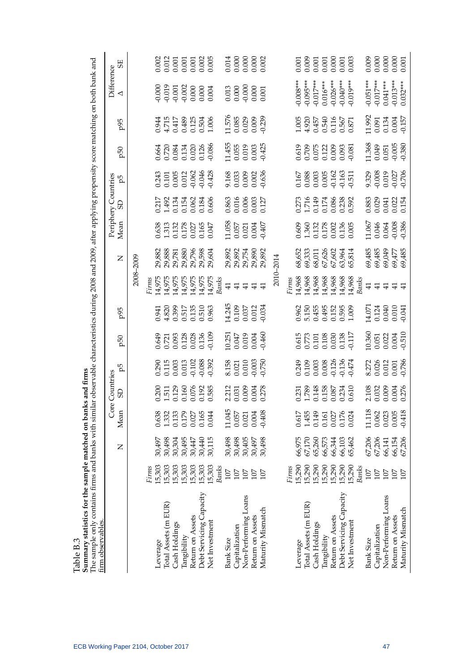| The sample only contains firms and banks with similar observable characteristics during 2008 and 2009, after applying propensity score matching on both bank and<br>firm observables | Summary statistics for the sample matched on ban | Z                | Mean               | Core Countries<br>GS                       | Ъq                                                                                  | 50                                                                           | p95                                                |                                                | $\mathsf{z}$                                             | Mean                                                                         | Periphery Countries<br>GD                   | р5                                                   | p50                                                                          | p95                                                                                                 | Difference<br>◁                                                                                  | 55                                                                                         |
|--------------------------------------------------------------------------------------------------------------------------------------------------------------------------------------|--------------------------------------------------|------------------|--------------------|--------------------------------------------|-------------------------------------------------------------------------------------|------------------------------------------------------------------------------|----------------------------------------------------|------------------------------------------------|----------------------------------------------------------|------------------------------------------------------------------------------|---------------------------------------------|------------------------------------------------------|------------------------------------------------------------------------------|-----------------------------------------------------------------------------------------------------|--------------------------------------------------------------------------------------------------|--------------------------------------------------------------------------------------------|
|                                                                                                                                                                                      |                                                  |                  |                    |                                            |                                                                                     |                                                                              |                                                    |                                                | 2008-2009                                                |                                                                              |                                             |                                                      |                                                                              |                                                                                                     |                                                                                                  |                                                                                            |
|                                                                                                                                                                                      | 15,303<br>Firms                                  | 30,497           | 0.638              |                                            | 0.290                                                                               |                                                                              |                                                    | 14,975<br>Firms                                | 29,882                                                   | 0.638                                                                        |                                             |                                                      |                                                                              |                                                                                                     |                                                                                                  | 0.002                                                                                      |
|                                                                                                                                                                                      | 15,303                                           | 30,498           | 1.332              |                                            |                                                                                     |                                                                              |                                                    |                                                | 29,888                                                   |                                                                              |                                             |                                                      |                                                                              |                                                                                                     |                                                                                                  |                                                                                            |
|                                                                                                                                                                                      | 15,303                                           | 30,304           | 0.133              |                                            |                                                                                     |                                                                              |                                                    |                                                | 29,781                                                   |                                                                              |                                             |                                                      |                                                                              |                                                                                                     |                                                                                                  |                                                                                            |
|                                                                                                                                                                                      | 15,303                                           | 30,495           | 0.179              |                                            |                                                                                     |                                                                              |                                                    |                                                |                                                          |                                                                              |                                             |                                                      |                                                                              |                                                                                                     |                                                                                                  |                                                                                            |
|                                                                                                                                                                                      | 15,303                                           | 30,447           | $0.027$            |                                            |                                                                                     |                                                                              |                                                    |                                                |                                                          |                                                                              |                                             |                                                      |                                                                              |                                                                                                     |                                                                                                  |                                                                                            |
|                                                                                                                                                                                      | 15,303<br>15,303                                 | 30,115<br>30,440 | 0.165<br>0.044     | 0.200<br>1.511<br>0.160<br>0.0785<br>0.585 | $\begin{array}{c} 0.115 \\ 0.003 \\ 0.013 \\ -0.102 \\ 0.088 \\ -0.392 \end{array}$ | 0.649<br>0.721<br>0.093<br>0.128<br>0.136<br>0.136                           | 0.941<br>4.820<br>4.820<br>4.85<br>0.515<br>0.963  | 14,975<br>14,975<br>14,975<br>14,975<br>14,975 | 29,880<br>29,796<br>29,598<br>29,604                     | 1.313<br>0.132<br>0.178<br>0.027<br>0.165                                    | 0.217<br>1.492<br>0.154<br>0.062<br>0.606   | 0.243<br>0.101<br>0.005<br>0.012<br>0.0446<br>0.0446 | 0.664<br>0.720<br>0.084<br>0.020<br>0.020<br>0.086                           | 0.944<br>4.715<br>4.715<br>0.504<br>0.504<br>0.006                                                  | $\begin{array}{l} 0.000 \\ -0.019 \\ -0.001 \\ -0.002 \\ 0.000 \\ 0.000 \\ 0.000 \\ \end{array}$ | $\begin{array}{r} 0.012 \\ 0.001 \\ 0.001 \\ 0.001 \\ 0.002 \\ 0.005 \\ 0.005 \end{array}$ |
|                                                                                                                                                                                      | Banks                                            |                  |                    |                                            |                                                                                     |                                                                              |                                                    | Banks                                          |                                                          |                                                                              |                                             |                                                      |                                                                              |                                                                                                     |                                                                                                  |                                                                                            |
|                                                                                                                                                                                      | 107                                              | 30,498           | 11.045             |                                            |                                                                                     |                                                                              |                                                    | $\overline{4}$                                 |                                                          |                                                                              |                                             |                                                      |                                                                              |                                                                                                     |                                                                                                  |                                                                                            |
|                                                                                                                                                                                      | 107                                              | 30,498           | 0.057              |                                            |                                                                                     |                                                                              |                                                    | $\pm$                                          |                                                          |                                                                              |                                             |                                                      |                                                                              |                                                                                                     |                                                                                                  |                                                                                            |
|                                                                                                                                                                                      | 107                                              | 30,405           | $0.021$<br>$0.004$ |                                            |                                                                                     |                                                                              |                                                    |                                                |                                                          |                                                                              |                                             |                                                      |                                                                              |                                                                                                     |                                                                                                  |                                                                                            |
|                                                                                                                                                                                      | 107<br>107                                       | 30,497<br>30,498 | $-0.408$           | 2.212<br>0.031<br>0.009<br>0.004<br>0.278  | 8.158<br>0.021<br>0.010<br>0.03<br>0.750                                            | 10.251<br>0.047<br>0.019<br>0.004<br>0.460                                   | 14.245<br>0.109<br>0.037<br>0.012<br>0.034         | $\overline{41}$                                | 29,892<br>29,897<br>29,754<br>29,892                     | $\begin{array}{c} 11.058 \\ 0.057 \\ 0.021 \\ 0.004 \\ 0.004 \\ \end{array}$ | 0.863<br>0.016<br>0.006<br>0.003<br>0.127   | 9.168<br>0.033<br>0.000<br>0.002<br>0.636            | $\begin{array}{c} 11.455 \\ 0.055 \\ 0.019 \\ 0.003 \\ 0.003 \\ \end{array}$ | 11.576<br>0.085<br>0.029<br>0.009<br>0.239                                                          | $\begin{array}{c} 0.013 \\ 0.000 \\ -0.000 \\ 0.000 \\ 0.001 \end{array}$                        | $\begin{array}{c} 0.014 \\ 0.000 \\ 0.000 \\ 0.000 \\ 0.002 \end{array}$                   |
|                                                                                                                                                                                      |                                                  |                  |                    |                                            |                                                                                     |                                                                              |                                                    |                                                | 2010-2014                                                |                                                                              |                                             |                                                      |                                                                              |                                                                                                     |                                                                                                  |                                                                                            |
|                                                                                                                                                                                      | Eirms                                            |                  |                    |                                            |                                                                                     |                                                                              |                                                    | Firms                                          |                                                          |                                                                              |                                             |                                                      |                                                                              |                                                                                                     |                                                                                                  |                                                                                            |
|                                                                                                                                                                                      | 15,290                                           | 66,975           | 0.617              |                                            |                                                                                     |                                                                              |                                                    |                                                |                                                          |                                                                              |                                             |                                                      |                                                                              |                                                                                                     | $-0.008***$                                                                                      | 0.001                                                                                      |
|                                                                                                                                                                                      | 15,290                                           | 67,170           | 1.455              |                                            |                                                                                     |                                                                              |                                                    |                                                |                                                          |                                                                              |                                             |                                                      |                                                                              |                                                                                                     | $-0.095***$                                                                                      | 0.009                                                                                      |
|                                                                                                                                                                                      | 15,290                                           | 65,260           | 0.149              | 0.231<br>1.789<br>0.158<br>0.087<br>0.610  | 0.249<br>0.109<br>0.003<br>0.000<br>0.136<br>0.474                                  | 0.615<br>0.773<br>0.101<br>0.108<br>0.117<br>0.117                           | 0.962<br>5.155<br>5.455<br>0.595<br>0.595<br>1.009 | 14,968<br>14,968<br>14,968<br>14,968<br>14,968 | 68,652<br>69,333<br>68,011<br>67,626<br>67,602<br>63,964 | 0.609<br>1.360<br>1.378<br>0.002<br>0.005<br>0.005                           | 273<br>1.7149<br>1.7148<br>2.0.238<br>2.592 | 0.167<br>0.088<br>0.005<br>0.005<br>0.511<br>0.511   | 0.619<br>0.709<br>0.075<br>0.0093<br>0.0093                                  | $\begin{array}{l} 1.005 \\ 4.920 \\ 0.457 \\ 0.540 \\ 0.540 \\ 0.567 \\ 0.567 \\ 0.871 \end{array}$ | $0.017***$                                                                                       | $\begin{array}{c} 0.001 \\ 0.001 \\ 0.000 \\ 0.001 \\ 0.003 \end{array}$                   |
|                                                                                                                                                                                      | 15,290                                           | 66,573           | 0.161              |                                            |                                                                                     |                                                                              |                                                    |                                                |                                                          |                                                                              |                                             |                                                      |                                                                              |                                                                                                     | $0.016***$                                                                                       |                                                                                            |
|                                                                                                                                                                                      | 15,290                                           | 66,344           | 0.027              |                                            |                                                                                     |                                                                              |                                                    |                                                |                                                          |                                                                              |                                             |                                                      |                                                                              |                                                                                                     | $0.026***$                                                                                       |                                                                                            |
|                                                                                                                                                                                      | 15,290                                           | 66,103           | 0.176              |                                            |                                                                                     |                                                                              |                                                    |                                                |                                                          |                                                                              |                                             |                                                      |                                                                              |                                                                                                     | $0.040***$                                                                                       |                                                                                            |
|                                                                                                                                                                                      | 15,290<br>Banks                                  | 65,462           | 0.024              |                                            |                                                                                     |                                                                              |                                                    | 14,968<br>Banks                                | 55,814                                                   |                                                                              |                                             |                                                      |                                                                              |                                                                                                     | $0.019***$                                                                                       |                                                                                            |
|                                                                                                                                                                                      | $107\,$                                          | 67,206           | 11.118             |                                            |                                                                                     |                                                                              |                                                    | $\pm$                                          | 69,485                                                   | 1.067                                                                        |                                             |                                                      |                                                                              | 11.992                                                                                              | $-0.051***$                                                                                      | 0.009                                                                                      |
|                                                                                                                                                                                      | 107                                              | 67,206           | 0.062              | 2.108<br>0.032<br>0.009                    |                                                                                     |                                                                              |                                                    | $\pm$                                          | 69,485                                                   |                                                                              |                                             |                                                      |                                                                              |                                                                                                     | $-0.017***$                                                                                      |                                                                                            |
|                                                                                                                                                                                      | 107                                              | 66,141           | 0.023              |                                            | 8.272<br>0.026<br>0.012<br>0.0786                                                   | $\begin{array}{c} 10.360 \\ 0.051 \\ 0.022 \\ 0.004 \\ 0.004 \\ \end{array}$ | 14.071<br>0.124<br>0.040<br>0.010<br>0.041         | $\pm$                                          | 69,049                                                   | $0.046$<br>$0.064$<br>$0.008$                                                | 0.883<br>0.029<br>0.041<br>0.022<br>0.154   | 9.329<br>0.008<br>0.019<br>0.706<br>0.706            | $\begin{array}{c} 11.368 \\ 0.049 \\ 0.051 \\ 0.005 \\ 0.005 \\ \end{array}$ | 0.091<br>0.134<br>0.157<br>0.157                                                                    | $0.041***$                                                                                       | $0.000$<br>$0.000$                                                                         |
|                                                                                                                                                                                      | 107                                              | 66,154           | 0.005              | 0.004<br>0.276                             |                                                                                     |                                                                              |                                                    |                                                | 69,477                                                   |                                                                              |                                             |                                                      |                                                                              |                                                                                                     | $-0.013***$                                                                                      |                                                                                            |
|                                                                                                                                                                                      | 107                                              | 67,206           | $-0.418$           |                                            |                                                                                     |                                                                              |                                                    |                                                | 59,485                                                   | 0.386                                                                        |                                             |                                                      |                                                                              |                                                                                                     | $0.032***$                                                                                       | 0.001                                                                                      |

J. ł,  $\frac{1}{2}$ Ŕ نې<br>په Table B.3

ECB Working Paper 2104, October 2017 47